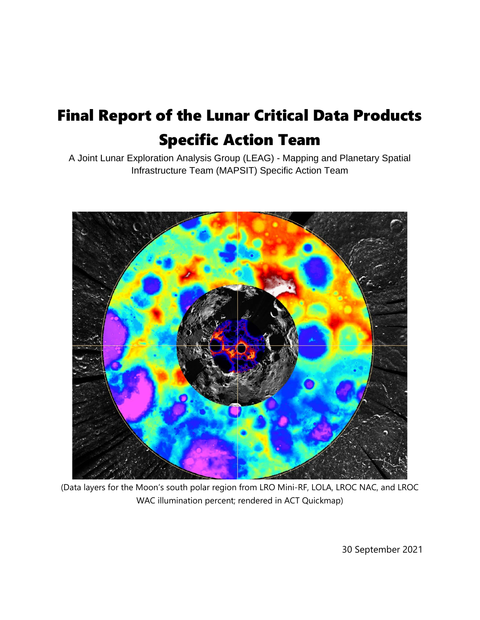# Final Report of the Lunar Critical Data Products Specific Action Team

A Joint Lunar Exploration Analysis Group (LEAG) - Mapping and Planetary Spatial Infrastructure Team (MAPSIT) Specific Action Team



(Data layers for the Moon's south polar region from LRO Mini-RF, LOLA, LROC NAC, and LROC WAC illumination percent; rendered in ACT Quickmap)

30 September 2021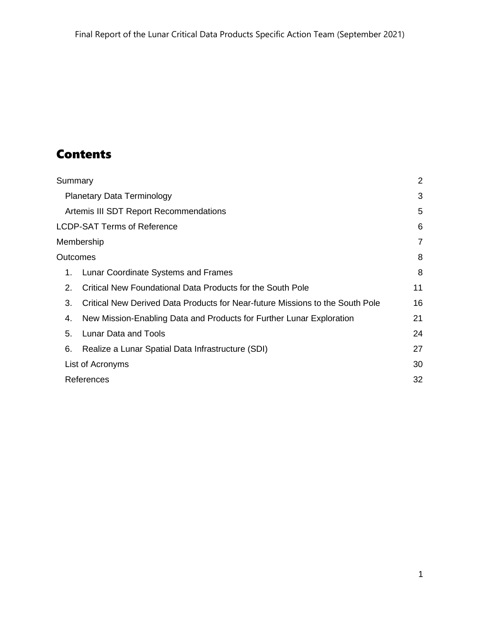## **Contents**

| Summary                            |                                                                               | 2  |
|------------------------------------|-------------------------------------------------------------------------------|----|
| <b>Planetary Data Terminology</b>  |                                                                               | 3  |
|                                    | Artemis III SDT Report Recommendations                                        | 5  |
| <b>LCDP-SAT Terms of Reference</b> |                                                                               | 6  |
| Membership                         |                                                                               | 7  |
| Outcomes                           |                                                                               | 8  |
| 1.                                 | Lunar Coordinate Systems and Frames                                           | 8  |
| 2.                                 | Critical New Foundational Data Products for the South Pole                    | 11 |
| 3.                                 | Critical New Derived Data Products for Near-future Missions to the South Pole | 16 |
| 4.                                 | New Mission-Enabling Data and Products for Further Lunar Exploration          | 21 |
| 5.                                 | Lunar Data and Tools                                                          | 24 |
| 6.                                 | Realize a Lunar Spatial Data Infrastructure (SDI)                             | 27 |
| List of Acronyms                   |                                                                               | 30 |
| References                         |                                                                               | 32 |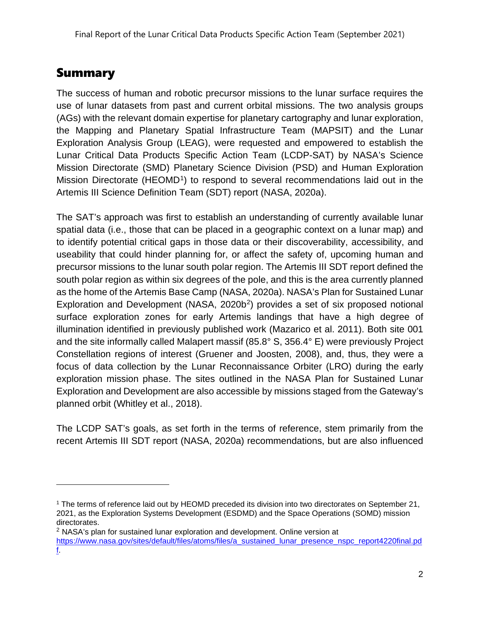## <span id="page-2-0"></span>**Summary**

The success of human and robotic precursor missions to the lunar surface requires the use of lunar datasets from past and current orbital missions. The two analysis groups (AGs) with the relevant domain expertise for planetary cartography and lunar exploration, the Mapping and Planetary Spatial Infrastructure Team (MAPSIT) and the Lunar Exploration Analysis Group (LEAG), were requested and empowered to establish the Lunar Critical Data Products Specific Action Team (LCDP-SAT) by NASA's Science Mission Directorate (SMD) Planetary Science Division (PSD) and Human Exploration Mission Directorate (HEOMD<sup>1</sup>) to respond to several recommendations laid out in the Artemis III Science Definition Team (SDT) report (NASA, 2020a).

The SAT's approach was first to establish an understanding of currently available lunar spatial data (i.e., those that can be placed in a geographic context on a lunar map) and to identify potential critical gaps in those data or their discoverability, accessibility, and useability that could hinder planning for, or affect the safety of, upcoming human and precursor missions to the lunar south polar region. The Artemis III SDT report defined the south polar region as within six degrees of the pole, and this is the area currently planned as the home of the Artemis Base Camp (NASA, 2020a). NASA's Plan for Sustained Lunar Exploration and Development (NASA, [2](#page-2-2)020b<sup>2</sup>) provides a set of six proposed notional surface exploration zones for early Artemis landings that have a high degree of illumination identified in previously published work (Mazarico et al. 2011). Both site 001 and the site informally called Malapert massif (85.8° S, 356.4° E) were previously Project Constellation regions of interest (Gruener and Joosten, 2008), and, thus, they were a focus of data collection by the Lunar Reconnaissance Orbiter (LRO) during the early exploration mission phase. The sites outlined in the NASA Plan for Sustained Lunar Exploration and Development are also accessible by missions staged from the Gateway's planned orbit (Whitley et al., 2018).

The LCDP SAT's goals, as set forth in the terms of reference, stem primarily from the recent Artemis III SDT report (NASA, 2020a) recommendations, but are also influenced

<span id="page-2-1"></span><sup>1</sup> The terms of reference laid out by HEOMD preceded its division into two directorates on September 21, 2021, as the Exploration Systems Development (ESDMD) and the Space Operations (SOMD) mission directorates.

<span id="page-2-2"></span> $<sup>2</sup>$  NASA's plan for sustained lunar exploration and development. Online version at</sup> [https://www.nasa.gov/sites/default/files/atoms/files/a\\_sustained\\_lunar\\_presence\\_nspc\\_report4220final.pd](https://www.nasa.gov/sites/default/files/atoms/files/a_sustained_lunar_presence_nspc_report4220final.pdf) [f.](https://www.nasa.gov/sites/default/files/atoms/files/a_sustained_lunar_presence_nspc_report4220final.pdf)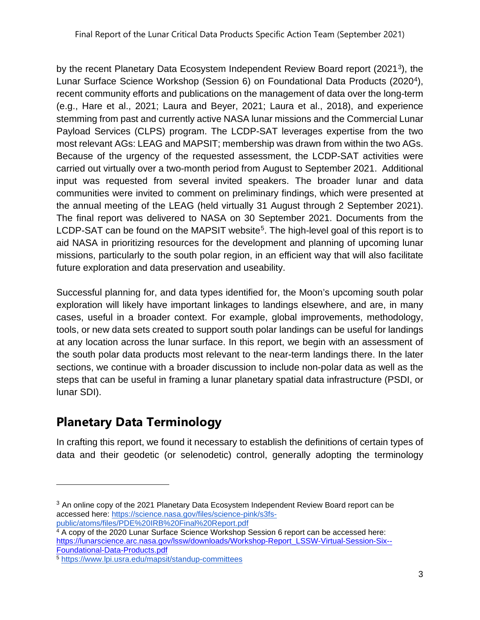by the recent Planetary Data Ecosystem Independent Review Board report (2021[3](#page-3-1)), the Lunar Surface Science Workshop (Session 6) on Foundational Data Products (2020[4\)](#page-3-2), recent community efforts and publications on the management of data over the long-term (e.g., Hare et al., 2021; Laura and Beyer, 2021; Laura et al., 2018), and experience stemming from past and currently active NASA lunar missions and the Commercial Lunar Payload Services (CLPS) program. The LCDP-SAT leverages expertise from the two most relevant AGs: LEAG and MAPSIT; membership was drawn from within the two AGs. Because of the urgency of the requested assessment, the LCDP-SAT activities were carried out virtually over a two-month period from August to September 2021. Additional input was requested from several invited speakers. The broader lunar and data communities were invited to comment on preliminary findings, which were presented at the annual meeting of the LEAG (held virtually 31 August through 2 September 2021). The final report was delivered to NASA on 30 September 2021. Documents from the LCDP-SAT can be found on the MAPSIT website<sup>[5](#page-3-3)</sup>. The high-level goal of this report is to aid NASA in prioritizing resources for the development and planning of upcoming lunar missions, particularly to the south polar region, in an efficient way that will also facilitate future exploration and data preservation and useability.

Successful planning for, and data types identified for, the Moon's upcoming south polar exploration will likely have important linkages to landings elsewhere, and are, in many cases, useful in a broader context. For example, global improvements, methodology, tools, or new data sets created to support south polar landings can be useful for landings at any location across the lunar surface. In this report, we begin with an assessment of the south polar data products most relevant to the near-term landings there. In the later sections, we continue with a broader discussion to include non-polar data as well as the steps that can be useful in framing a lunar planetary spatial data infrastructure (PSDI, or lunar SDI).

## <span id="page-3-0"></span>**Planetary Data Terminology**

In crafting this report, we found it necessary to establish the definitions of certain types of data and their geodetic (or selenodetic) control, generally adopting the terminology

<span id="page-3-1"></span> $3$  An online copy of the 2021 Planetary Data Ecosystem Independent Review Board report can be accessed here: [https://science.nasa.gov/files/science-pink/s3fs](https://science.nasa.gov/files/science-pink/s3fs-public/atoms/files/PDE%20IRB%20Final%20Report.pdf)[public/atoms/files/PDE%20IRB%20Final%20Report.pdf](https://science.nasa.gov/files/science-pink/s3fs-public/atoms/files/PDE%20IRB%20Final%20Report.pdf)

<span id="page-3-2"></span><sup>4</sup> A copy of the 2020 Lunar Surface Science Workshop Session 6 report can be accessed here: [https://lunarscience.arc.nasa.gov/lssw/downloads/Workshop-Report\\_LSSW-Virtual-Session-Six--](https://lunarscience.arc.nasa.gov/lssw/downloads/Workshop-Report_LSSW-Virtual-Session-Six--Foundational-Data-Products.pdf) [Foundational-Data-Products.pdf](https://lunarscience.arc.nasa.gov/lssw/downloads/Workshop-Report_LSSW-Virtual-Session-Six--Foundational-Data-Products.pdf)

<span id="page-3-3"></span><sup>5</sup> <https://www.lpi.usra.edu/mapsit/standup-committees>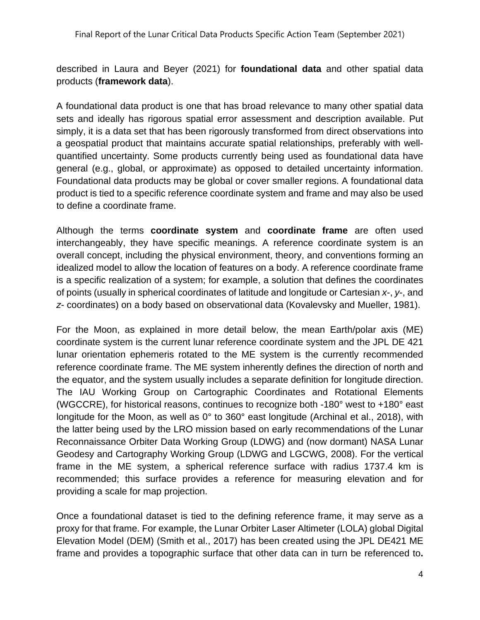described in Laura and Beyer (2021) for **foundational data** and other spatial data products (**framework data**).

A foundational data product is one that has broad relevance to many other spatial data sets and ideally has rigorous spatial error assessment and description available. Put simply, it is a data set that has been rigorously transformed from direct observations into a geospatial product that maintains accurate spatial relationships, preferably with wellquantified uncertainty. Some products currently being used as foundational data have general (e.g., global, or approximate) as opposed to detailed uncertainty information. Foundational data products may be global or cover smaller regions. A foundational data product is tied to a specific reference coordinate system and frame and may also be used to define a coordinate frame.

Although the terms **coordinate system** and **coordinate frame** are often used interchangeably, they have specific meanings. A reference coordinate system is an overall concept, including the physical environment, theory, and conventions forming an idealized model to allow the location of features on a body. A reference coordinate frame is a specific realization of a system; for example, a solution that defines the coordinates of points (usually in spherical coordinates of latitude and longitude or Cartesian *x*-, *y*-, and *z*- coordinates) on a body based on observational data (Kovalevsky and Mueller, 1981).

For the Moon, as explained in more detail below, the mean Earth/polar axis (ME) coordinate system is the current lunar reference coordinate system and the JPL DE 421 lunar orientation ephemeris rotated to the ME system is the currently recommended reference coordinate frame. The ME system inherently defines the direction of north and the equator, and the system usually includes a separate definition for longitude direction. The IAU Working Group on Cartographic Coordinates and Rotational Elements (WGCCRE), for historical reasons, continues to recognize both -180° west to +180° east longitude for the Moon, as well as 0° to 360° east longitude (Archinal et al., 2018), with the latter being used by the LRO mission based on early recommendations of the Lunar Reconnaissance Orbiter Data Working Group (LDWG) and (now dormant) NASA Lunar Geodesy and Cartography Working Group (LDWG and LGCWG, 2008). For the vertical frame in the ME system, a spherical reference surface with radius 1737.4 km is recommended; this surface provides a reference for measuring elevation and for providing a scale for map projection.

Once a foundational dataset is tied to the defining reference frame, it may serve as a proxy for that frame. For example, the Lunar Orbiter Laser Altimeter (LOLA) global Digital Elevation Model (DEM) (Smith et al., 2017) has been created using the JPL DE421 ME frame and provides a topographic surface that other data can in turn be referenced to**.**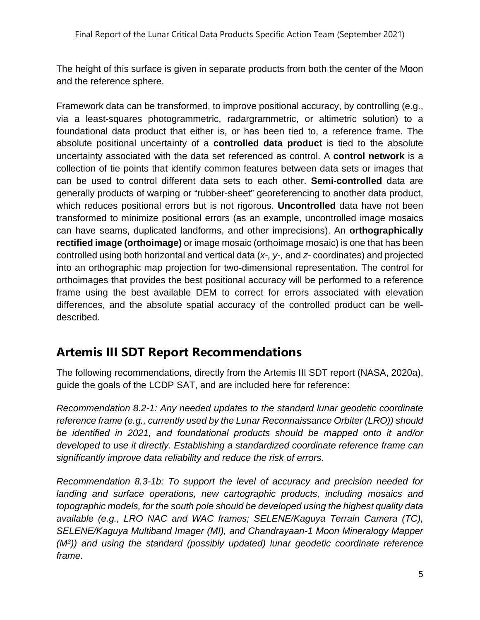The height of this surface is given in separate products from both the center of the Moon and the reference sphere.

Framework data can be transformed, to improve positional accuracy, by controlling (e.g., via a least-squares photogrammetric, radargrammetric, or altimetric solution) to a foundational data product that either is, or has been tied to, a reference frame. The absolute positional uncertainty of a **controlled data product** is tied to the absolute uncertainty associated with the data set referenced as control. A **control network** is a collection of tie points that identify common features between data sets or images that can be used to control different data sets to each other. **Semi-controlled** data are generally products of warping or "rubber-sheet" georeferencing to another data product, which reduces positional errors but is not rigorous. **Uncontrolled** data have not been transformed to minimize positional errors (as an example, uncontrolled image mosaics can have seams, duplicated landforms, and other imprecisions). An **orthographically rectified image (orthoimage)** or image mosaic (orthoimage mosaic) is one that has been controlled using both horizontal and vertical data (*x-, y-,* and *z-* coordinates) and projected into an orthographic map projection for two-dimensional representation. The control for orthoimages that provides the best positional accuracy will be performed to a reference frame using the best available DEM to correct for errors associated with elevation differences, and the absolute spatial accuracy of the controlled product can be welldescribed.

### <span id="page-5-0"></span>**Artemis III SDT Report Recommendations**

The following recommendations, directly from the Artemis III SDT report (NASA, 2020a), guide the goals of the LCDP SAT, and are included here for reference:

*Recommendation 8.2-1: Any needed updates to the standard lunar geodetic coordinate reference frame (e.g., currently used by the Lunar Reconnaissance Orbiter (LRO)) should be identified in 2021, and foundational products should be mapped onto it and/or developed to use it directly. Establishing a standardized coordinate reference frame can significantly improve data reliability and reduce the risk of errors.* 

*Recommendation 8.3-1b: To support the level of accuracy and precision needed for landing and surface operations, new cartographic products, including mosaics and topographic models, for the south pole should be developed using the highest quality data available (e.g., LRO NAC and WAC frames; SELENE/Kaguya Terrain Camera (TC), SELENE/Kaguya Multiband Imager (MI), and Chandrayaan-1 Moon Mineralogy Mapper (M3)) and using the standard (possibly updated) lunar geodetic coordinate reference frame.*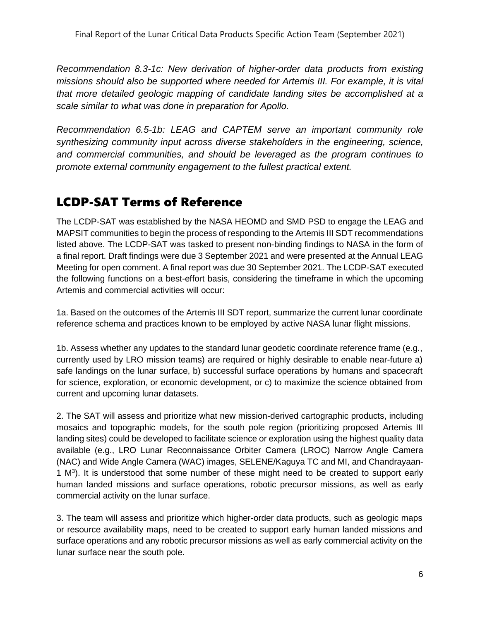*Recommendation 8.3-1c: New derivation of higher-order data products from existing missions should also be supported where needed for Artemis III. For example, it is vital that more detailed geologic mapping of candidate landing sites be accomplished at a scale similar to what was done in preparation for Apollo.* 

*Recommendation 6.5-1b: LEAG and CAPTEM serve an important community role synthesizing community input across diverse stakeholders in the engineering, science, and commercial communities, and should be leveraged as the program continues to promote external community engagement to the fullest practical extent.*

### <span id="page-6-0"></span>LCDP-SAT Terms of Reference

The LCDP-SAT was established by the NASA HEOMD and SMD PSD to engage the LEAG and MAPSIT communities to begin the process of responding to the Artemis III SDT recommendations listed above. The LCDP-SAT was tasked to present non-binding findings to NASA in the form of a final report. Draft findings were due 3 September 2021 and were presented at the Annual LEAG Meeting for open comment. A final report was due 30 September 2021. The LCDP-SAT executed the following functions on a best-effort basis, considering the timeframe in which the upcoming Artemis and commercial activities will occur:

1a. Based on the outcomes of the Artemis III SDT report, summarize the current lunar coordinate reference schema and practices known to be employed by active NASA lunar flight missions.

1b. Assess whether any updates to the standard lunar geodetic coordinate reference frame (e.g., currently used by LRO mission teams) are required or highly desirable to enable near-future a) safe landings on the lunar surface, b) successful surface operations by humans and spacecraft for science, exploration, or economic development, or c) to maximize the science obtained from current and upcoming lunar datasets.

2. The SAT will assess and prioritize what new mission-derived cartographic products, including mosaics and topographic models, for the south pole region (prioritizing proposed Artemis III landing sites) could be developed to facilitate science or exploration using the highest quality data available (e.g., LRO Lunar Reconnaissance Orbiter Camera (LROC) Narrow Angle Camera (NAC) and Wide Angle Camera (WAC) images, SELENE/Kaguya TC and MI, and Chandrayaan-1 M<sup>3</sup>). It is understood that some number of these might need to be created to support early human landed missions and surface operations, robotic precursor missions, as well as early commercial activity on the lunar surface.

3. The team will assess and prioritize which higher-order data products, such as geologic maps or resource availability maps, need to be created to support early human landed missions and surface operations and any robotic precursor missions as well as early commercial activity on the lunar surface near the south pole.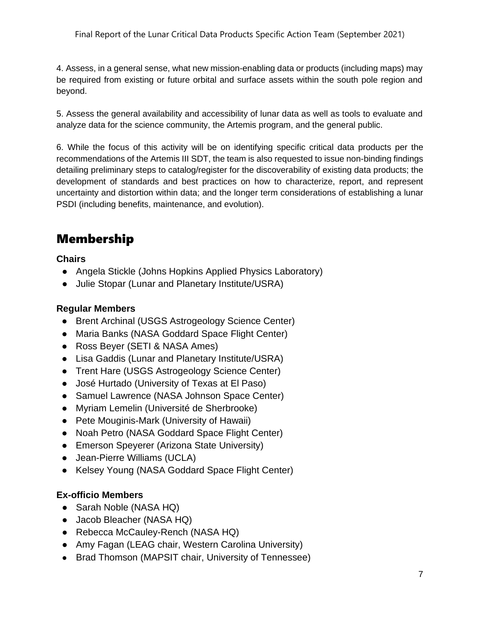Final Report of the Lunar Critical Data Products Specific Action Team (September 2021)

4. Assess, in a general sense, what new mission-enabling data or products (including maps) may be required from existing or future orbital and surface assets within the south pole region and beyond.

5. Assess the general availability and accessibility of lunar data as well as tools to evaluate and analyze data for the science community, the Artemis program, and the general public.

6. While the focus of this activity will be on identifying specific critical data products per the recommendations of the Artemis III SDT, the team is also requested to issue non-binding findings detailing preliminary steps to catalog/register for the discoverability of existing data products; the development of standards and best practices on how to characterize, report, and represent uncertainty and distortion within data; and the longer term considerations of establishing a lunar PSDI (including benefits, maintenance, and evolution).

## <span id="page-7-0"></span>Membership

**Chairs**

- Angela Stickle (Johns Hopkins Applied Physics Laboratory)
- Julie Stopar (Lunar and Planetary Institute/USRA)

#### **Regular Members**

- Brent Archinal (USGS Astrogeology Science Center)
- Maria Banks (NASA Goddard Space Flight Center)
- Ross Beyer (SETI & NASA Ames)
- Lisa Gaddis (Lunar and Planetary Institute/USRA)
- Trent Hare (USGS Astrogeology Science Center)
- José Hurtado (University of Texas at El Paso)
- Samuel Lawrence (NASA Johnson Space Center)
- Myriam Lemelin (Université de Sherbrooke)
- Pete Mouginis-Mark (University of Hawaii)
- Noah Petro (NASA Goddard Space Flight Center)
- Emerson Speyerer (Arizona State University)
- Jean-Pierre Williams (UCLA)
- Kelsey Young (NASA Goddard Space Flight Center)

#### **Ex-officio Members**

- Sarah Noble (NASA HQ)
- Jacob Bleacher (NASA HQ)
- Rebecca McCauley-Rench (NASA HQ)
- Amy Fagan (LEAG chair, Western Carolina University)
- Brad Thomson (MAPSIT chair, University of Tennessee)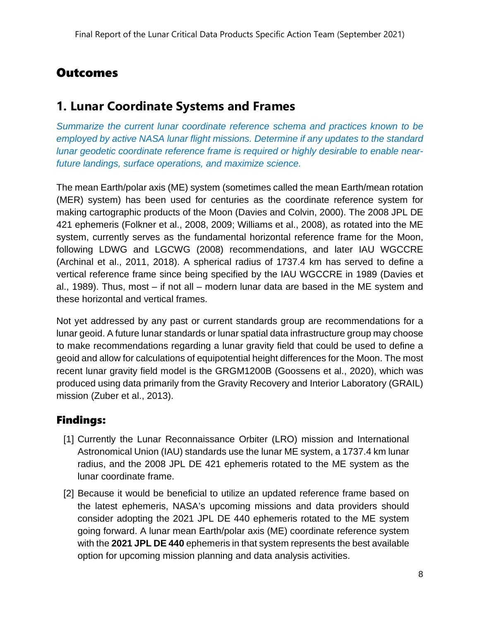### <span id="page-8-0"></span>**Outcomes**

### <span id="page-8-1"></span>**1. Lunar Coordinate Systems and Frames**

*Summarize the current lunar coordinate reference schema and practices known to be employed by active NASA lunar flight missions. Determine if any updates to the standard lunar geodetic coordinate reference frame is required or highly desirable to enable nearfuture landings, surface operations, and maximize science.*

The mean Earth/polar axis (ME) system (sometimes called the mean Earth/mean rotation (MER) system) has been used for centuries as the coordinate reference system for making cartographic products of the Moon (Davies and Colvin, 2000). The 2008 JPL DE 421 ephemeris (Folkner et al., 2008, 2009; Williams et al., 2008), as rotated into the ME system, currently serves as the fundamental horizontal reference frame for the Moon, following LDWG and LGCWG (2008) recommendations, and later IAU WGCCRE (Archinal et al., 2011, 2018). A spherical radius of 1737.4 km has served to define a vertical reference frame since being specified by the IAU WGCCRE in 1989 (Davies et al., 1989). Thus, most – if not all – modern lunar data are based in the ME system and these horizontal and vertical frames.

Not yet addressed by any past or current standards group are recommendations for a lunar geoid. A future lunar standards or lunar spatial data infrastructure group may choose to make recommendations regarding a lunar gravity field that could be used to define a geoid and allow for calculations of equipotential height differences for the Moon. The most recent lunar gravity field model is the GRGM1200B (Goossens et al., 2020), which was produced using data primarily from the Gravity Recovery and Interior Laboratory (GRAIL) mission (Zuber et al., 2013).

### Findings:

- [1] Currently the Lunar Reconnaissance Orbiter (LRO) mission and International Astronomical Union (IAU) standards use the lunar ME system, a 1737.4 km lunar radius, and the 2008 JPL DE 421 ephemeris rotated to the ME system as the lunar coordinate frame.
- [2] Because it would be beneficial to utilize an updated reference frame based on the latest ephemeris, NASA's upcoming missions and data providers should consider adopting the 2021 JPL DE 440 ephemeris rotated to the ME system going forward. A lunar mean Earth/polar axis (ME) coordinate reference system with the **2021 JPL DE 440** ephemeris in that system represents the best available option for upcoming mission planning and data analysis activities.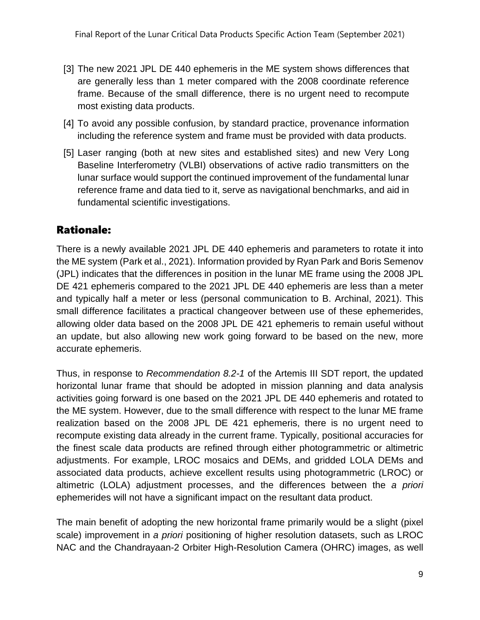- [3] The new 2021 JPL DE 440 ephemeris in the ME system shows differences that are generally less than 1 meter compared with the 2008 coordinate reference frame. Because of the small difference, there is no urgent need to recompute most existing data products.
- [4] To avoid any possible confusion, by standard practice, provenance information including the reference system and frame must be provided with data products.
- [5] Laser ranging (both at new sites and established sites) and new Very Long Baseline Interferometry (VLBI) observations of active radio transmitters on the lunar surface would support the continued improvement of the fundamental lunar reference frame and data tied to it, serve as navigational benchmarks, and aid in fundamental scientific investigations.

### Rationale:

There is a newly available 2021 JPL DE 440 ephemeris and parameters to rotate it into the ME system (Park et al., 2021). Information provided by Ryan Park and Boris Semenov (JPL) indicates that the differences in position in the lunar ME frame using the 2008 JPL DE 421 ephemeris compared to the 2021 JPL DE 440 ephemeris are less than a meter and typically half a meter or less (personal communication to B. Archinal, 2021). This small difference facilitates a practical changeover between use of these ephemerides, allowing older data based on the 2008 JPL DE 421 ephemeris to remain useful without an update, but also allowing new work going forward to be based on the new, more accurate ephemeris.

Thus, in response to *Recommendation 8.2-1* of the Artemis III SDT report, the updated horizontal lunar frame that should be adopted in mission planning and data analysis activities going forward is one based on the 2021 JPL DE 440 ephemeris and rotated to the ME system. However, due to the small difference with respect to the lunar ME frame realization based on the 2008 JPL DE 421 ephemeris, there is no urgent need to recompute existing data already in the current frame. Typically, positional accuracies for the finest scale data products are refined through either photogrammetric or altimetric adjustments. For example, LROC mosaics and DEMs, and gridded LOLA DEMs and associated data products, achieve excellent results using photogrammetric (LROC) or altimetric (LOLA) adjustment processes, and the differences between the *a priori* ephemerides will not have a significant impact on the resultant data product.

The main benefit of adopting the new horizontal frame primarily would be a slight (pixel scale) improvement in *a priori* positioning of higher resolution datasets, such as LROC NAC and the Chandrayaan-2 Orbiter High-Resolution Camera (OHRC) images, as well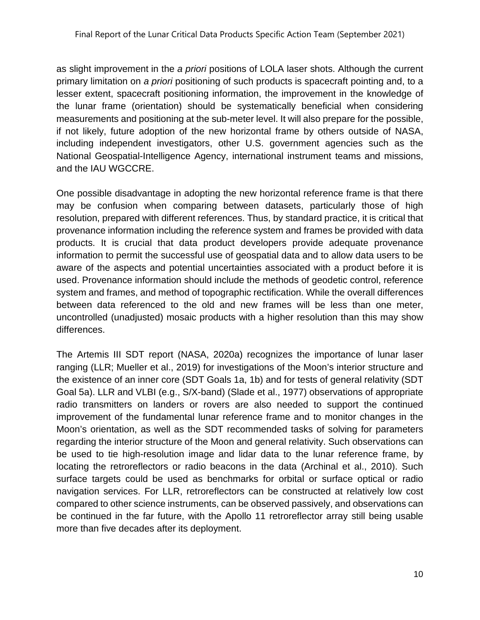as slight improvement in the *a priori* positions of LOLA laser shots. Although the current primary limitation on *a priori* positioning of such products is spacecraft pointing and, to a lesser extent, spacecraft positioning information, the improvement in the knowledge of the lunar frame (orientation) should be systematically beneficial when considering measurements and positioning at the sub-meter level. It will also prepare for the possible, if not likely, future adoption of the new horizontal frame by others outside of NASA, including independent investigators, other U.S. government agencies such as the National Geospatial-Intelligence Agency, international instrument teams and missions, and the IAU WGCCRE.

One possible disadvantage in adopting the new horizontal reference frame is that there may be confusion when comparing between datasets, particularly those of high resolution, prepared with different references. Thus, by standard practice, it is critical that provenance information including the reference system and frames be provided with data products. It is crucial that data product developers provide adequate provenance information to permit the successful use of geospatial data and to allow data users to be aware of the aspects and potential uncertainties associated with a product before it is used. Provenance information should include the methods of geodetic control, reference system and frames, and method of topographic rectification. While the overall differences between data referenced to the old and new frames will be less than one meter, uncontrolled (unadjusted) mosaic products with a higher resolution than this may show differences.

The Artemis III SDT report (NASA, 2020a) recognizes the importance of lunar laser ranging (LLR; Mueller et al., 2019) for investigations of the Moon's interior structure and the existence of an inner core (SDT Goals 1a, 1b) and for tests of general relativity (SDT Goal 5a). LLR and VLBI (e.g., S/X-band) (Slade et al., 1977) observations of appropriate radio transmitters on landers or rovers are also needed to support the continued improvement of the fundamental lunar reference frame and to monitor changes in the Moon's orientation, as well as the SDT recommended tasks of solving for parameters regarding the interior structure of the Moon and general relativity. Such observations can be used to tie high-resolution image and lidar data to the lunar reference frame, by locating the retroreflectors or radio beacons in the data (Archinal et al., 2010). Such surface targets could be used as benchmarks for orbital or surface optical or radio navigation services. For LLR, retroreflectors can be constructed at relatively low cost compared to other science instruments, can be observed passively, and observations can be continued in the far future, with the Apollo 11 retroreflector array still being usable more than five decades after its deployment.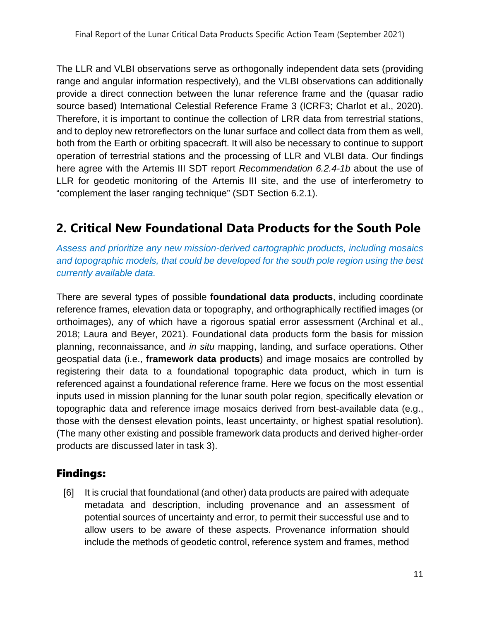The LLR and VLBI observations serve as orthogonally independent data sets (providing range and angular information respectively), and the VLBI observations can additionally provide a direct connection between the lunar reference frame and the (quasar radio source based) International Celestial Reference Frame 3 (ICRF3; Charlot et al., 2020). Therefore, it is important to continue the collection of LRR data from terrestrial stations, and to deploy new retroreflectors on the lunar surface and collect data from them as well, both from the Earth or orbiting spacecraft. It will also be necessary to continue to support operation of terrestrial stations and the processing of LLR and VLBI data. Our findings here agree with the Artemis III SDT report *Recommendation 6.2.4-1b* about the use of LLR for geodetic monitoring of the Artemis III site, and the use of interferometry to "complement the laser ranging technique" (SDT Section 6.2.1).

## <span id="page-11-0"></span>**2. Critical New Foundational Data Products for the South Pole**

*Assess and prioritize any new mission-derived cartographic products, including mosaics and topographic models, that could be developed for the south pole region using the best currently available data.*

There are several types of possible **foundational data products**, including coordinate reference frames, elevation data or topography, and orthographically rectified images (or orthoimages), any of which have a rigorous spatial error assessment (Archinal et al., 2018; Laura and Beyer, 2021). Foundational data products form the basis for mission planning, reconnaissance, and *in situ* mapping, landing, and surface operations. Other geospatial data (i.e., **framework data products**) and image mosaics are controlled by registering their data to a foundational topographic data product, which in turn is referenced against a foundational reference frame. Here we focus on the most essential inputs used in mission planning for the lunar south polar region, specifically elevation or topographic data and reference image mosaics derived from best-available data (e.g., those with the densest elevation points, least uncertainty, or highest spatial resolution). (The many other existing and possible framework data products and derived higher-order products are discussed later in task 3).

#### Findings:

[6] It is crucial that foundational (and other) data products are paired with adequate metadata and description, including provenance and an assessment of potential sources of uncertainty and error, to permit their successful use and to allow users to be aware of these aspects. Provenance information should include the methods of geodetic control, reference system and frames, method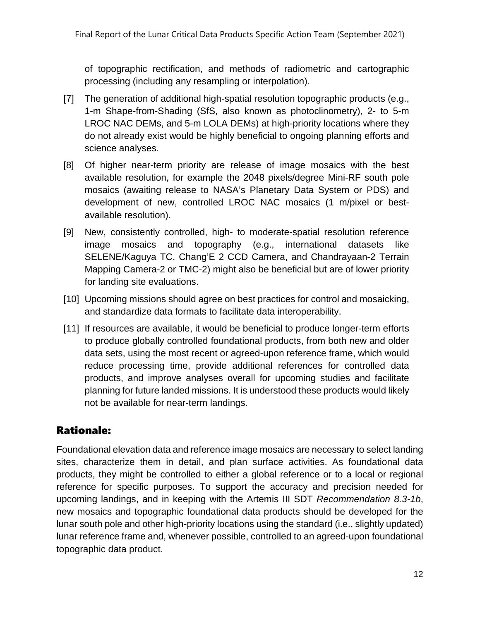of topographic rectification, and methods of radiometric and cartographic processing (including any resampling or interpolation).

- [7] The generation of additional high-spatial resolution topographic products (e.g., 1-m Shape-from-Shading (SfS, also known as photoclinometry), 2- to 5-m LROC NAC DEMs, and 5-m LOLA DEMs) at high-priority locations where they do not already exist would be highly beneficial to ongoing planning efforts and science analyses.
- [8] Of higher near-term priority are release of image mosaics with the best available resolution, for example the 2048 pixels/degree Mini-RF south pole mosaics (awaiting release to NASA's Planetary Data System or PDS) and development of new, controlled LROC NAC mosaics (1 m/pixel or bestavailable resolution).
- [9] New, consistently controlled, high- to moderate-spatial resolution reference image mosaics and topography (e.g., international datasets like SELENE/Kaguya TC, Chang'E 2 CCD Camera, and Chandrayaan-2 Terrain Mapping Camera-2 or TMC-2) might also be beneficial but are of lower priority for landing site evaluations.
- [10] Upcoming missions should agree on best practices for control and mosaicking, and standardize data formats to facilitate data interoperability.
- [11] If resources are available, it would be beneficial to produce longer-term efforts to produce globally controlled foundational products, from both new and older data sets, using the most recent or agreed-upon reference frame, which would reduce processing time, provide additional references for controlled data products, and improve analyses overall for upcoming studies and facilitate planning for future landed missions. It is understood these products would likely not be available for near-term landings.

### Rationale:

Foundational elevation data and reference image mosaics are necessary to select landing sites, characterize them in detail, and plan surface activities. As foundational data products, they might be controlled to either a global reference or to a local or regional reference for specific purposes. To support the accuracy and precision needed for upcoming landings, and in keeping with the Artemis III SDT *Recommendation 8.3-1b*, new mosaics and topographic foundational data products should be developed for the lunar south pole and other high-priority locations using the standard (i.e., slightly updated) lunar reference frame and, whenever possible, controlled to an agreed-upon foundational topographic data product.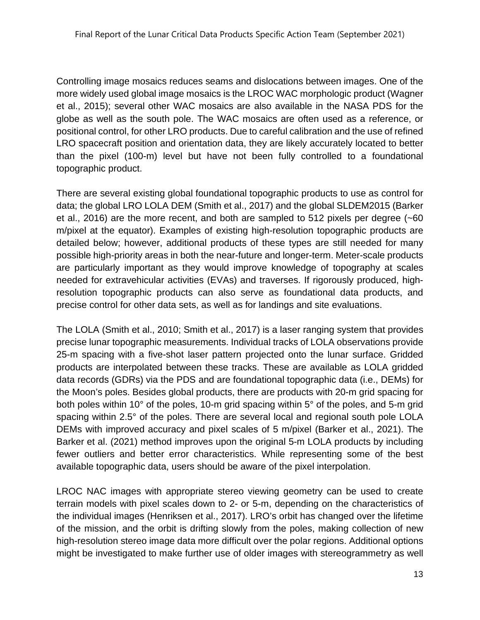Controlling image mosaics reduces seams and dislocations between images. One of the more widely used global image mosaics is the LROC WAC morphologic product (Wagner et al., 2015); several other WAC mosaics are also available in the NASA PDS for the globe as well as the south pole. The WAC mosaics are often used as a reference, or positional control, for other LRO products. Due to careful calibration and the use of refined LRO spacecraft position and orientation data, they are likely accurately located to better than the pixel (100-m) level but have not been fully controlled to a foundational topographic product.

There are several existing global foundational topographic products to use as control for data; the global LRO LOLA DEM (Smith et al., 2017) and the global SLDEM2015 (Barker et al., 2016) are the more recent, and both are sampled to 512 pixels per degree (~60 m/pixel at the equator). Examples of existing high-resolution topographic products are detailed below; however, additional products of these types are still needed for many possible high-priority areas in both the near-future and longer-term. Meter-scale products are particularly important as they would improve knowledge of topography at scales needed for extravehicular activities (EVAs) and traverses. If rigorously produced, highresolution topographic products can also serve as foundational data products, and precise control for other data sets, as well as for landings and site evaluations.

The LOLA (Smith et al., 2010; Smith et al., 2017) is a laser ranging system that provides precise lunar topographic measurements. Individual tracks of LOLA observations provide 25-m spacing with a five-shot laser pattern projected onto the lunar surface. Gridded products are interpolated between these tracks. These are available as LOLA gridded data records (GDRs) via the PDS and are foundational topographic data (i.e., DEMs) for the Moon's poles. Besides global products, there are products with 20-m grid spacing for both poles within 10° of the poles, 10-m grid spacing within 5° of the poles, and 5-m grid spacing within 2.5° of the poles. There are several local and regional south pole LOLA DEMs with improved accuracy and pixel scales of 5 m/pixel (Barker et al., 2021). The Barker et al. (2021) method improves upon the original 5-m LOLA products by including fewer outliers and better error characteristics. While representing some of the best available topographic data, users should be aware of the pixel interpolation.

LROC NAC images with appropriate stereo viewing geometry can be used to create terrain models with pixel scales down to 2- or 5-m, depending on the characteristics of the individual images (Henriksen et al., 2017). LRO's orbit has changed over the lifetime of the mission, and the orbit is drifting slowly from the poles, making collection of new high-resolution stereo image data more difficult over the polar regions. Additional options might be investigated to make further use of older images with stereogrammetry as well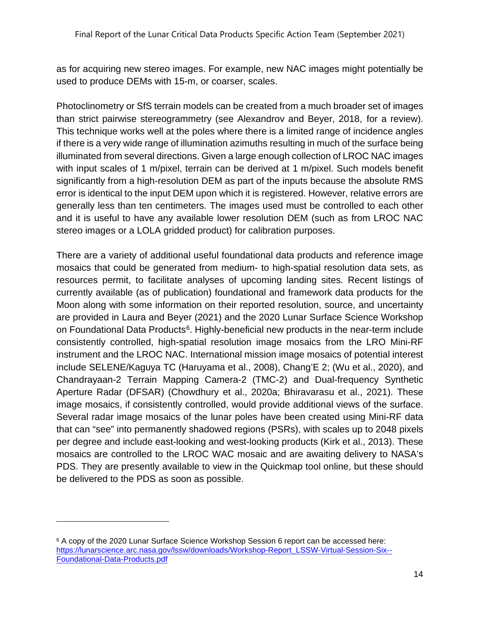as for acquiring new stereo images. For example, new NAC images might potentially be used to produce DEMs with 15-m, or coarser, scales.

Photoclinometry or SfS terrain models can be created from a much broader set of images than strict pairwise stereogrammetry (see Alexandrov and Beyer, 2018, for a review). This technique works well at the poles where there is a limited range of incidence angles if there is a very wide range of illumination azimuths resulting in much of the surface being illuminated from several directions. Given a large enough collection of LROC NAC images with input scales of 1 m/pixel, terrain can be derived at 1 m/pixel. Such models benefit significantly from a high-resolution DEM as part of the inputs because the absolute RMS error is identical to the input DEM upon which it is registered. However, relative errors are generally less than ten centimeters. The images used must be controlled to each other and it is useful to have any available lower resolution DEM (such as from LROC NAC stereo images or a LOLA gridded product) for calibration purposes.

There are a variety of additional useful foundational data products and reference image mosaics that could be generated from medium- to high-spatial resolution data sets, as resources permit, to facilitate analyses of upcoming landing sites. Recent listings of currently available (as of publication) foundational and framework data products for the Moon along with some information on their reported resolution, source, and uncertainty are provided in Laura and Beyer (2021) and the 2020 Lunar Surface Science Workshop on Foundational Data Products<sup>[6](#page-14-0)</sup>. Highly-beneficial new products in the near-term include consistently controlled, high-spatial resolution image mosaics from the LRO Mini-RF instrument and the LROC NAC. International mission image mosaics of potential interest include SELENE/Kaguya TC (Haruyama et al., 2008), Chang'E 2; (Wu et al., 2020), and Chandrayaan-2 Terrain Mapping Camera-2 (TMC-2) and Dual-frequency Synthetic Aperture Radar (DFSAR) (Chowdhury et al., 2020a; Bhiravarasu et al., 2021). These image mosaics, if consistently controlled, would provide additional views of the surface. Several radar image mosaics of the lunar poles have been created using Mini-RF data that can "see" into permanently shadowed regions (PSRs), with scales up to 2048 pixels per degree and include east-looking and west-looking products (Kirk et al., 2013). These mosaics are controlled to the LROC WAC mosaic and are awaiting delivery to NASA's PDS. They are presently available to view in the Quickmap tool online, but these should be delivered to the PDS as soon as possible.

<span id="page-14-0"></span><sup>6</sup> A copy of the 2020 Lunar Surface Science Workshop Session 6 report can be accessed here: [https://lunarscience.arc.nasa.gov/lssw/downloads/Workshop-Report\\_LSSW-Virtual-Session-Six--](https://lunarscience.arc.nasa.gov/lssw/downloads/Workshop-Report_LSSW-Virtual-Session-Six--Foundational-Data-Products.pdf) [Foundational-Data-Products.pdf](https://lunarscience.arc.nasa.gov/lssw/downloads/Workshop-Report_LSSW-Virtual-Session-Six--Foundational-Data-Products.pdf)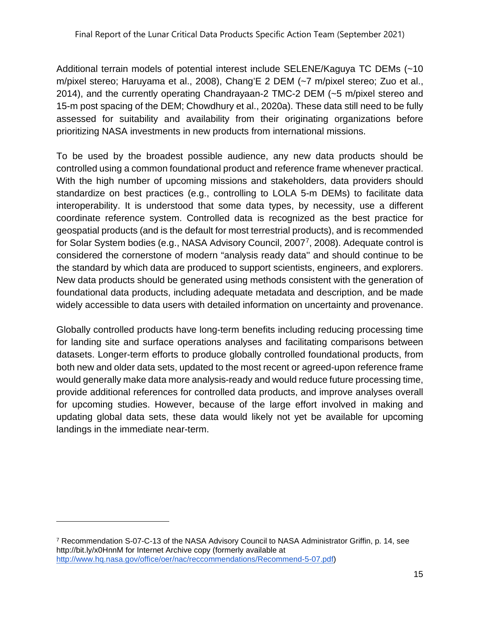Additional terrain models of potential interest include SELENE/Kaguya TC DEMs (~10 m/pixel stereo; Haruyama et al., 2008), Chang'E 2 DEM (~7 m/pixel stereo; Zuo et al., 2014), and the currently operating Chandrayaan-2 TMC-2 DEM (~5 m/pixel stereo and 15-m post spacing of the DEM; Chowdhury et al., 2020a). These data still need to be fully assessed for suitability and availability from their originating organizations before prioritizing NASA investments in new products from international missions.

To be used by the broadest possible audience, any new data products should be controlled using a common foundational product and reference frame whenever practical. With the high number of upcoming missions and stakeholders, data providers should standardize on best practices (e.g., controlling to LOLA 5-m DEMs) to facilitate data interoperability. It is understood that some data types, by necessity, use a different coordinate reference system. Controlled data is recognized as the best practice for geospatial products (and is the default for most terrestrial products), and is recommended for Solar System bodies (e.g., NASA Advisory Council, 2007[7,](#page-15-0) 2008). Adequate control is considered the cornerstone of modern "analysis ready data'' and should continue to be the standard by which data are produced to support scientists, engineers, and explorers. New data products should be generated using methods consistent with the generation of foundational data products, including adequate metadata and description, and be made widely accessible to data users with detailed information on uncertainty and provenance.

Globally controlled products have long-term benefits including reducing processing time for landing site and surface operations analyses and facilitating comparisons between datasets. Longer-term efforts to produce globally controlled foundational products, from both new and older data sets, updated to the most recent or agreed-upon reference frame would generally make data more analysis-ready and would reduce future processing time, provide additional references for controlled data products, and improve analyses overall for upcoming studies. However, because of the large effort involved in making and updating global data sets, these data would likely not yet be available for upcoming landings in the immediate near-term.

<span id="page-15-0"></span><sup>7</sup> Recommendation S-07-C-13 of the NASA Advisory Council to NASA Administrator Griffin, p. 14, see http://bit.ly/x0HnnM for Internet Archive copy (formerly available at [http://www.hq.nasa.gov/office/oer/nac/reccommendations/Recommend-5-07.pdf\)](http://www.hq.nasa.gov/office/oer/nac/reccommendations/Recommend-5-07.pdf)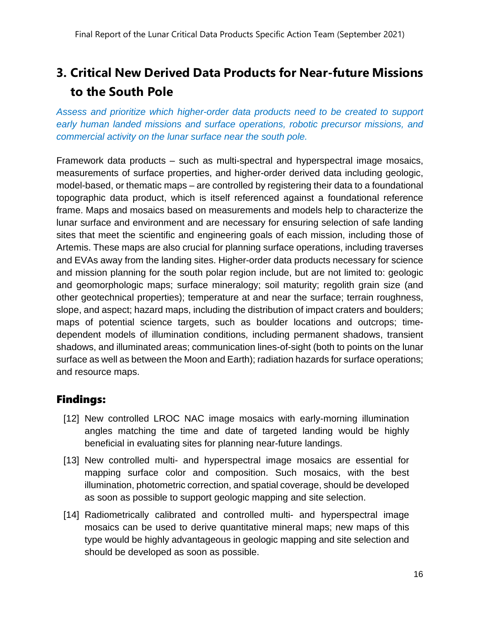## <span id="page-16-0"></span>**3. Critical New Derived Data Products for Near-future Missions to the South Pole**

*Assess and prioritize which higher-order data products need to be created to support early human landed missions and surface operations, robotic precursor missions, and commercial activity on the lunar surface near the south pole.* 

Framework data products – such as multi-spectral and hyperspectral image mosaics, measurements of surface properties, and higher-order derived data including geologic, model-based, or thematic maps – are controlled by registering their data to a foundational topographic data product, which is itself referenced against a foundational reference frame. Maps and mosaics based on measurements and models help to characterize the lunar surface and environment and are necessary for ensuring selection of safe landing sites that meet the scientific and engineering goals of each mission, including those of Artemis. These maps are also crucial for planning surface operations, including traverses and EVAs away from the landing sites. Higher-order data products necessary for science and mission planning for the south polar region include, but are not limited to: geologic and geomorphologic maps; surface mineralogy; soil maturity; regolith grain size (and other geotechnical properties); temperature at and near the surface; terrain roughness, slope, and aspect; hazard maps, including the distribution of impact craters and boulders; maps of potential science targets, such as boulder locations and outcrops; timedependent models of illumination conditions, including permanent shadows, transient shadows, and illuminated areas; communication lines-of-sight (both to points on the lunar surface as well as between the Moon and Earth); radiation hazards for surface operations; and resource maps.

### Findings:

- [12] New controlled LROC NAC image mosaics with early-morning illumination angles matching the time and date of targeted landing would be highly beneficial in evaluating sites for planning near-future landings.
- [13] New controlled multi- and hyperspectral image mosaics are essential for mapping surface color and composition. Such mosaics, with the best illumination, photometric correction, and spatial coverage, should be developed as soon as possible to support geologic mapping and site selection.
- [14] Radiometrically calibrated and controlled multi- and hyperspectral image mosaics can be used to derive quantitative mineral maps; new maps of this type would be highly advantageous in geologic mapping and site selection and should be developed as soon as possible.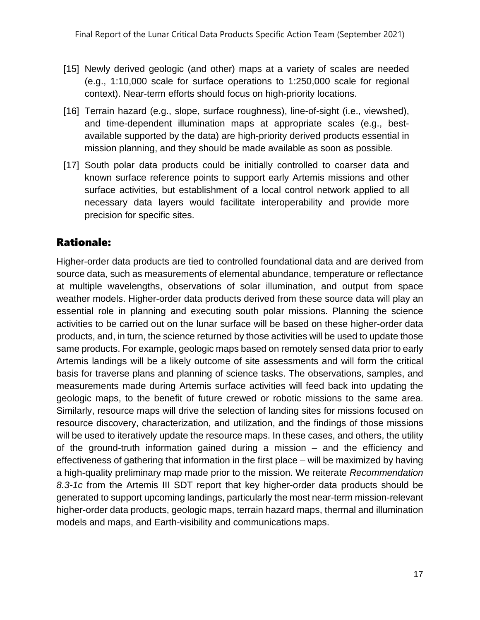- [15] Newly derived geologic (and other) maps at a variety of scales are needed (e.g., 1:10,000 scale for surface operations to 1:250,000 scale for regional context). Near-term efforts should focus on high-priority locations.
- [16] Terrain hazard (e.g., slope, surface roughness), line-of-sight (i.e., viewshed), and time-dependent illumination maps at appropriate scales (e.g., bestavailable supported by the data) are high-priority derived products essential in mission planning, and they should be made available as soon as possible.
- [17] South polar data products could be initially controlled to coarser data and known surface reference points to support early Artemis missions and other surface activities, but establishment of a local control network applied to all necessary data layers would facilitate interoperability and provide more precision for specific sites.

### Rationale:

Higher-order data products are tied to controlled foundational data and are derived from source data, such as measurements of elemental abundance, temperature or reflectance at multiple wavelengths, observations of solar illumination, and output from space weather models. Higher-order data products derived from these source data will play an essential role in planning and executing south polar missions. Planning the science activities to be carried out on the lunar surface will be based on these higher-order data products, and, in turn, the science returned by those activities will be used to update those same products. For example, geologic maps based on remotely sensed data prior to early Artemis landings will be a likely outcome of site assessments and will form the critical basis for traverse plans and planning of science tasks. The observations, samples, and measurements made during Artemis surface activities will feed back into updating the geologic maps, to the benefit of future crewed or robotic missions to the same area. Similarly, resource maps will drive the selection of landing sites for missions focused on resource discovery, characterization, and utilization, and the findings of those missions will be used to iteratively update the resource maps. In these cases, and others, the utility of the ground-truth information gained during a mission – and the efficiency and effectiveness of gathering that information in the first place – will be maximized by having a high-quality preliminary map made prior to the mission. We reiterate *Recommendation 8.3-1c* from the Artemis III SDT report that key higher-order data products should be generated to support upcoming landings, particularly the most near-term mission-relevant higher-order data products, geologic maps, terrain hazard maps, thermal and illumination models and maps, and Earth-visibility and communications maps.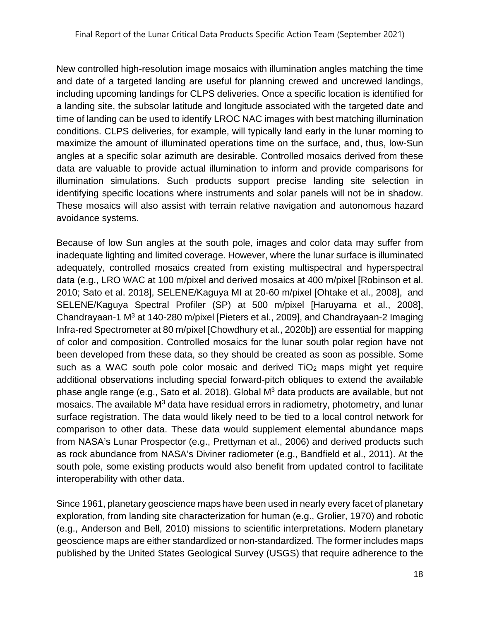New controlled high-resolution image mosaics with illumination angles matching the time and date of a targeted landing are useful for planning crewed and uncrewed landings, including upcoming landings for CLPS deliveries. Once a specific location is identified for a landing site, the subsolar latitude and longitude associated with the targeted date and time of landing can be used to identify LROC NAC images with best matching illumination conditions. CLPS deliveries, for example, will typically land early in the lunar morning to maximize the amount of illuminated operations time on the surface, and, thus, low-Sun angles at a specific solar azimuth are desirable. Controlled mosaics derived from these data are valuable to provide actual illumination to inform and provide comparisons for illumination simulations. Such products support precise landing site selection in identifying specific locations where instruments and solar panels will not be in shadow. These mosaics will also assist with terrain relative navigation and autonomous hazard avoidance systems.

Because of low Sun angles at the south pole, images and color data may suffer from inadequate lighting and limited coverage. However, where the lunar surface is illuminated adequately, controlled mosaics created from existing multispectral and hyperspectral data (e.g., LRO WAC at 100 m/pixel and derived mosaics at 400 m/pixel [Robinson et al. 2010; Sato et al. 2018], SELENE/Kaguya MI at 20-60 m/pixel [Ohtake et al., 2008], and SELENE/Kaguya Spectral Profiler (SP) at 500 m/pixel [Haruyama et al., 2008], Chandrayaan-1 M3 at 140-280 m/pixel [Pieters et al., 2009], and Chandrayaan-2 Imaging Infra-red Spectrometer at 80 m/pixel [Chowdhury et al., 2020b]) are essential for mapping of color and composition. Controlled mosaics for the lunar south polar region have not been developed from these data, so they should be created as soon as possible. Some such as a WAC south pole color mosaic and derived TiO<sub>2</sub> maps might yet require additional observations including special forward-pitch obliques to extend the available phase angle range (e.g., Sato et al. 2018). Global M3 data products are available, but not mosaics. The available  $M<sup>3</sup>$  data have residual errors in radiometry, photometry, and lunar surface registration. The data would likely need to be tied to a local control network for comparison to other data. These data would supplement elemental abundance maps from NASA's Lunar Prospector (e.g., Prettyman et al., 2006) and derived products such as rock abundance from NASA's Diviner radiometer (e.g., Bandfield et al., 2011). At the south pole, some existing products would also benefit from updated control to facilitate interoperability with other data.

Since 1961, planetary geoscience maps have been used in nearly every facet of planetary exploration, from landing site characterization for human (e.g., Grolier, 1970) and robotic (e.g., Anderson and Bell, 2010) missions to scientific interpretations. Modern planetary geoscience maps are either standardized or non-standardized. The former includes maps published by the United States Geological Survey (USGS) that require adherence to the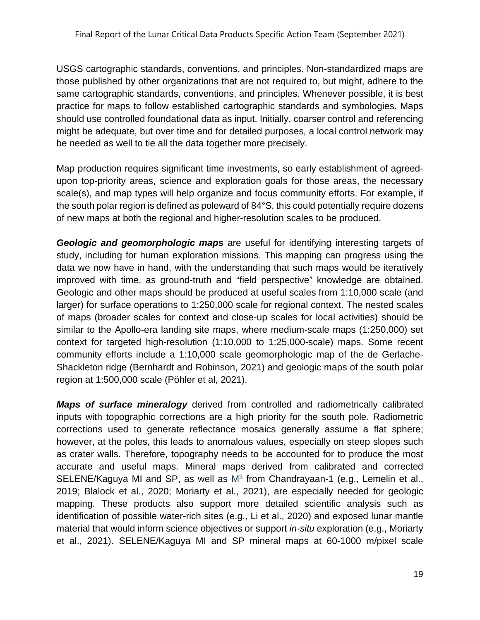USGS cartographic standards, conventions, and principles. Non-standardized maps are those published by other organizations that are not required to, but might, adhere to the same cartographic standards, conventions, and principles. Whenever possible, it is best practice for maps to follow established cartographic standards and symbologies. Maps should use controlled foundational data as input. Initially, coarser control and referencing might be adequate, but over time and for detailed purposes, a local control network may be needed as well to tie all the data together more precisely.

Map production requires significant time investments, so early establishment of agreedupon top-priority areas, science and exploration goals for those areas, the necessary scale(s), and map types will help organize and focus community efforts. For example, if the south polar region is defined as poleward of 84°S, this could potentially require dozens of new maps at both the regional and higher-resolution scales to be produced.

*Geologic and geomorphologic maps* are useful for identifying interesting targets of study, including for human exploration missions. This mapping can progress using the data we now have in hand, with the understanding that such maps would be iteratively improved with time, as ground-truth and "field perspective" knowledge are obtained. Geologic and other maps should be produced at useful scales from 1:10,000 scale (and larger) for surface operations to 1:250,000 scale for regional context. The nested scales of maps (broader scales for context and close-up scales for local activities) should be similar to the Apollo-era landing site maps, where medium-scale maps (1:250,000) set context for targeted high-resolution (1:10,000 to 1:25,000-scale) maps. Some recent community efforts include a 1:10,000 scale geomorphologic map of the de Gerlache-Shackleton ridge (Bernhardt and Robinson, 2021) and geologic maps of the south polar region at 1:500,000 scale (Pöhler et al, 2021).

*Maps of surface mineralogy* derived from controlled and radiometrically calibrated inputs with topographic corrections are a high priority for the south pole. Radiometric corrections used to generate reflectance mosaics generally assume a flat sphere; however, at the poles, this leads to anomalous values, especially on steep slopes such as crater walls. Therefore, topography needs to be accounted for to produce the most accurate and useful maps. Mineral maps derived from calibrated and corrected SELENE/Kaguya MI and SP, as well as  $M<sup>3</sup>$  from Chandrayaan-1 (e.g., Lemelin et al., 2019; Blalock et al., 2020; Moriarty et al., 2021), are especially needed for geologic mapping. These products also support more detailed scientific analysis such as identification of possible water-rich sites (e.g., Li et al., 2020) and exposed lunar mantle material that would inform science objectives or support *in-situ* exploration (e.g., Moriarty et al., 2021). SELENE/Kaguya MI and SP mineral maps at 60-1000 m/pixel scale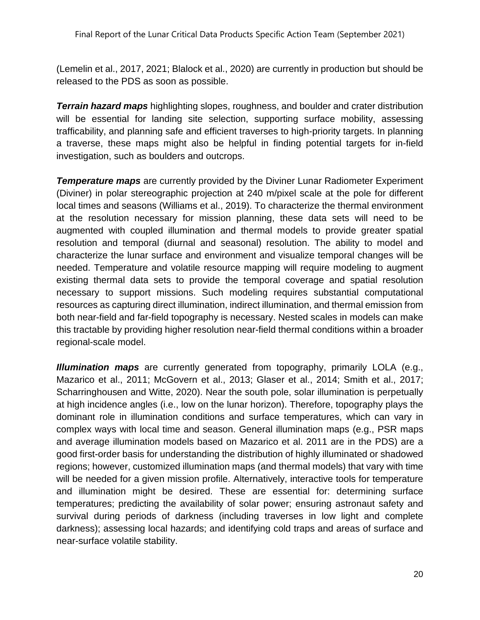(Lemelin et al., 2017, 2021; Blalock et al., 2020) are currently in production but should be released to the PDS as soon as possible.

*Terrain hazard maps* highlighting slopes, roughness, and boulder and crater distribution will be essential for landing site selection, supporting surface mobility, assessing trafficability, and planning safe and efficient traverses to high-priority targets. In planning a traverse, these maps might also be helpful in finding potential targets for in-field investigation, such as boulders and outcrops.

*Temperature maps* are currently provided by the Diviner Lunar Radiometer Experiment (Diviner) in polar stereographic projection at 240 m/pixel scale at the pole for different local times and seasons (Williams et al., 2019). To characterize the thermal environment at the resolution necessary for mission planning, these data sets will need to be augmented with coupled illumination and thermal models to provide greater spatial resolution and temporal (diurnal and seasonal) resolution. The ability to model and characterize the lunar surface and environment and visualize temporal changes will be needed. Temperature and volatile resource mapping will require modeling to augment existing thermal data sets to provide the temporal coverage and spatial resolution necessary to support missions. Such modeling requires substantial computational resources as capturing direct illumination, indirect illumination, and thermal emission from both near-field and far-field topography is necessary. Nested scales in models can make this tractable by providing higher resolution near-field thermal conditions within a broader regional-scale model.

*Illumination maps* are currently generated from topography, primarily LOLA (e.g., Mazarico et al., 2011; McGovern et al., 2013; Glaser et al., 2014; Smith et al., 2017; Scharringhousen and Witte, 2020). Near the south pole, solar illumination is perpetually at high incidence angles (i.e., low on the lunar horizon). Therefore, topography plays the dominant role in illumination conditions and surface temperatures, which can vary in complex ways with local time and season. General illumination maps (e.g., PSR maps and average illumination models based on Mazarico et al. 2011 are in the PDS) are a good first-order basis for understanding the distribution of highly illuminated or shadowed regions; however, customized illumination maps (and thermal models) that vary with time will be needed for a given mission profile. Alternatively, interactive tools for temperature and illumination might be desired. These are essential for: determining surface temperatures; predicting the availability of solar power; ensuring astronaut safety and survival during periods of darkness (including traverses in low light and complete darkness); assessing local hazards; and identifying cold traps and areas of surface and near-surface volatile stability.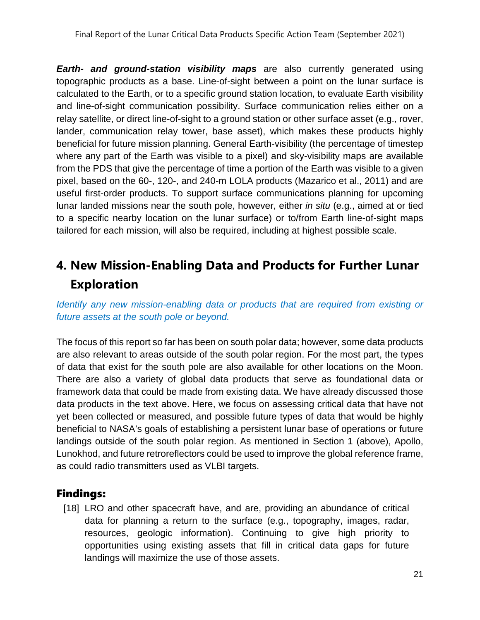*Earth- and ground-station visibility maps* are also currently generated using topographic products as a base. Line-of-sight between a point on the lunar surface is calculated to the Earth, or to a specific ground station location, to evaluate Earth visibility and line-of-sight communication possibility. Surface communication relies either on a relay satellite, or direct line-of-sight to a ground station or other surface asset (e.g., rover, lander, communication relay tower, base asset), which makes these products highly beneficial for future mission planning. General Earth-visibility (the percentage of timestep where any part of the Earth was visible to a pixel) and sky-visibility maps are available from the PDS that give the percentage of time a portion of the Earth was visible to a given pixel, based on the 60-, 120-, and 240-m LOLA products (Mazarico et al., 2011) and are useful first-order products. To support surface communications planning for upcoming lunar landed missions near the south pole, however, either *in situ* (e.g., aimed at or tied to a specific nearby location on the lunar surface) or to/from Earth line-of-sight maps tailored for each mission, will also be required, including at highest possible scale.

## <span id="page-21-0"></span>**4. New Mission-Enabling Data and Products for Further Lunar Exploration**

*Identify any new mission-enabling data or products that are required from existing or future assets at the south pole or beyond.*

The focus of this report so far has been on south polar data; however, some data products are also relevant to areas outside of the south polar region. For the most part, the types of data that exist for the south pole are also available for other locations on the Moon. There are also a variety of global data products that serve as foundational data or framework data that could be made from existing data. We have already discussed those data products in the text above. Here, we focus on assessing critical data that have not yet been collected or measured, and possible future types of data that would be highly beneficial to NASA's goals of establishing a persistent lunar base of operations or future landings outside of the south polar region. As mentioned in Section 1 (above), Apollo, Lunokhod, and future retroreflectors could be used to improve the global reference frame, as could radio transmitters used as VLBI targets.

### Findings:

[18] LRO and other spacecraft have, and are, providing an abundance of critical data for planning a return to the surface (e.g., topography, images, radar, resources, geologic information). Continuing to give high priority to opportunities using existing assets that fill in critical data gaps for future landings will maximize the use of those assets.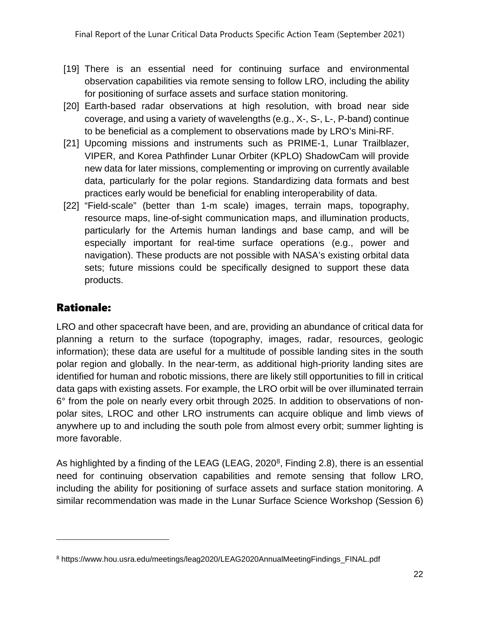- [19] There is an essential need for continuing surface and environmental observation capabilities via remote sensing to follow LRO, including the ability for positioning of surface assets and surface station monitoring.
- [20] Earth-based radar observations at high resolution, with broad near side coverage, and using a variety of wavelengths (e.g., X-, S-, L-, P-band) continue to be beneficial as a complement to observations made by LRO's Mini-RF.
- [21] Upcoming missions and instruments such as PRIME-1, Lunar Trailblazer, VIPER, and Korea Pathfinder Lunar Orbiter (KPLO) ShadowCam will provide new data for later missions, complementing or improving on currently available data, particularly for the polar regions. Standardizing data formats and best practices early would be beneficial for enabling interoperability of data.
- [22] "Field-scale" (better than 1-m scale) images, terrain maps, topography, resource maps, line-of-sight communication maps, and illumination products, particularly for the Artemis human landings and base camp, and will be especially important for real-time surface operations (e.g., power and navigation). These products are not possible with NASA's existing orbital data sets; future missions could be specifically designed to support these data products.

### Rationale:

LRO and other spacecraft have been, and are, providing an abundance of critical data for planning a return to the surface (topography, images, radar, resources, geologic information); these data are useful for a multitude of possible landing sites in the south polar region and globally. In the near-term, as additional high-priority landing sites are identified for human and robotic missions, there are likely still opportunities to fill in critical data gaps with existing assets. For example, the LRO orbit will be over illuminated terrain 6° from the pole on nearly every orbit through 2025. In addition to observations of nonpolar sites, LROC and other LRO instruments can acquire oblique and limb views of anywhere up to and including the south pole from almost every orbit; summer lighting is more favorable.

As highlighted by a finding of the LEAG (LEAG, 2020<sup>[8](#page-22-0)</sup>, Finding 2.8), there is an essential need for continuing observation capabilities and remote sensing that follow LRO, including the ability for positioning of surface assets and surface station monitoring. A similar recommendation was made in the Lunar Surface Science Workshop (Session 6)

<span id="page-22-0"></span><sup>8</sup> https://www.hou.usra.edu/meetings/leag2020/LEAG2020AnnualMeetingFindings\_FINAL.pdf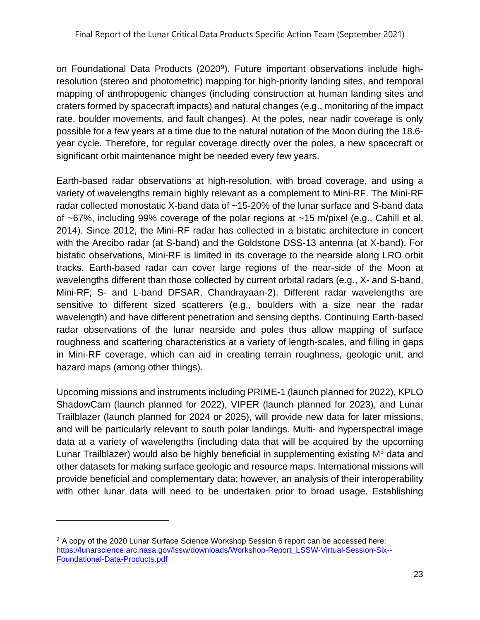on Foundational Data Products (2020<sup>[9](#page-23-0)</sup>). Future important observations include highresolution (stereo and photometric) mapping for high-priority landing sites, and temporal mapping of anthropogenic changes (including construction at human landing sites and craters formed by spacecraft impacts) and natural changes (e.g., monitoring of the impact rate, boulder movements, and fault changes). At the poles, near nadir coverage is only possible for a few years at a time due to the natural nutation of the Moon during the 18.6 year cycle. Therefore, for regular coverage directly over the poles, a new spacecraft or significant orbit maintenance might be needed every few years.

Earth-based radar observations at high-resolution, with broad coverage, and using a variety of wavelengths remain highly relevant as a complement to Mini-RF. The Mini-RF radar collected monostatic X-band data of ~15-20% of the lunar surface and S-band data of ~67%, including 99% coverage of the polar regions at ~15 m/pixel (e.g., Cahill et al. 2014). Since 2012, the Mini-RF radar has collected in a bistatic architecture in concert with the Arecibo radar (at S-band) and the Goldstone DSS-13 antenna (at X-band). For bistatic observations, Mini-RF is limited in its coverage to the nearside along LRO orbit tracks. Earth-based radar can cover large regions of the near-side of the Moon at wavelengths different than those collected by current orbital radars (e.g., X- and S-band, Mini-RF; S- and L-band DFSAR, Chandrayaan-2). Different radar wavelengths are sensitive to different sized scatterers (e.g., boulders with a size near the radar wavelength) and have different penetration and sensing depths. Continuing Earth-based radar observations of the lunar nearside and poles thus allow mapping of surface roughness and scattering characteristics at a variety of length-scales, and filling in gaps in Mini-RF coverage, which can aid in creating terrain roughness, geologic unit, and hazard maps (among other things).

Upcoming missions and instruments including PRIME-1 (launch planned for 2022), KPLO ShadowCam (launch planned for 2022), VIPER (launch planned for 2023), and Lunar Trailblazer (launch planned for 2024 or 2025), will provide new data for later missions, and will be particularly relevant to south polar landings. Multi- and hyperspectral image data at a variety of wavelengths (including data that will be acquired by the upcoming Lunar Trailblazer) would also be highly beneficial in supplementing existing  $M<sup>3</sup>$  data and other datasets for making surface geologic and resource maps. International missions will provide beneficial and complementary data; however, an analysis of their interoperability with other lunar data will need to be undertaken prior to broad usage. Establishing

<span id="page-23-0"></span><sup>9</sup> A copy of the 2020 Lunar Surface Science Workshop Session 6 report can be accessed here: [https://lunarscience.arc.nasa.gov/lssw/downloads/Workshop-Report\\_LSSW-Virtual-Session-Six--](https://lunarscience.arc.nasa.gov/lssw/downloads/Workshop-Report_LSSW-Virtual-Session-Six--Foundational-Data-Products.pdf) [Foundational-Data-Products.pdf](https://lunarscience.arc.nasa.gov/lssw/downloads/Workshop-Report_LSSW-Virtual-Session-Six--Foundational-Data-Products.pdf)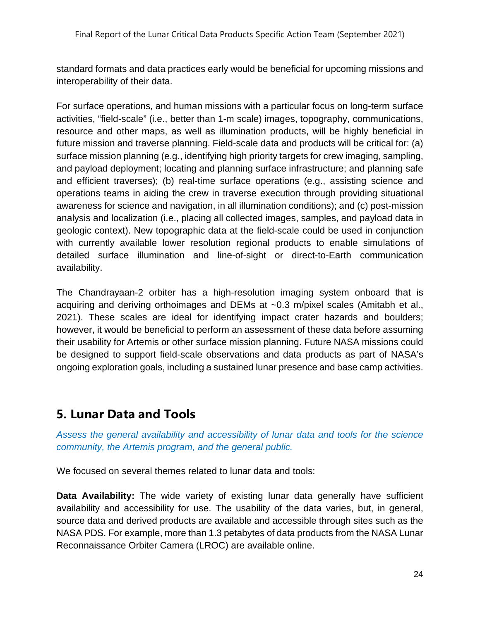standard formats and data practices early would be beneficial for upcoming missions and interoperability of their data.

For surface operations, and human missions with a particular focus on long-term surface activities, "field-scale" (i.e., better than 1-m scale) images, topography, communications, resource and other maps, as well as illumination products, will be highly beneficial in future mission and traverse planning. Field-scale data and products will be critical for: (a) surface mission planning (e.g., identifying high priority targets for crew imaging, sampling, and payload deployment; locating and planning surface infrastructure; and planning safe and efficient traverses); (b) real-time surface operations (e.g., assisting science and operations teams in aiding the crew in traverse execution through providing situational awareness for science and navigation, in all illumination conditions); and (c) post-mission analysis and localization (i.e., placing all collected images, samples, and payload data in geologic context). New topographic data at the field-scale could be used in conjunction with currently available lower resolution regional products to enable simulations of detailed surface illumination and line-of-sight or direct-to-Earth communication availability.

The Chandrayaan-2 orbiter has a high-resolution imaging system onboard that is acquiring and deriving orthoimages and DEMs at ~0.3 m/pixel scales (Amitabh et al., 2021). These scales are ideal for identifying impact crater hazards and boulders; however, it would be beneficial to perform an assessment of these data before assuming their usability for Artemis or other surface mission planning. Future NASA missions could be designed to support field-scale observations and data products as part of NASA's ongoing exploration goals, including a sustained lunar presence and base camp activities.

### <span id="page-24-0"></span>**5. Lunar Data and Tools**

*Assess the general availability and accessibility of lunar data and tools for the science community, the Artemis program, and the general public.*

We focused on several themes related to lunar data and tools:

**Data Availability:** The wide variety of existing lunar data generally have sufficient availability and accessibility for use. The usability of the data varies, but, in general, source data and derived products are available and accessible through sites such as the NASA PDS. For example, more than 1.3 petabytes of data products from the NASA Lunar Reconnaissance Orbiter Camera (LROC) are available online.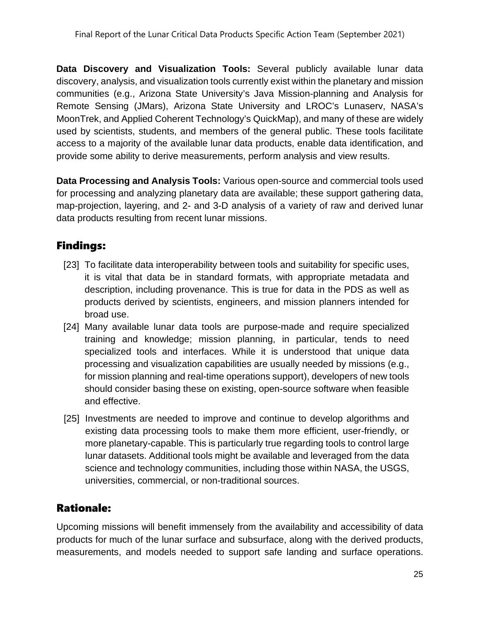**Data Discovery and Visualization Tools:** Several publicly available lunar data discovery, analysis, and visualization tools currently exist within the planetary and mission communities (e.g., Arizona State University's Java Mission-planning and Analysis for Remote Sensing (JMars), Arizona State University and LROC's Lunaserv, NASA's MoonTrek, and Applied Coherent Technology's QuickMap), and many of these are widely used by scientists, students, and members of the general public. These tools facilitate access to a majority of the available lunar data products, enable data identification, and provide some ability to derive measurements, perform analysis and view results.

**Data Processing and Analysis Tools:** Various open-source and commercial tools used for processing and analyzing planetary data are available; these support gathering data, map-projection, layering, and 2- and 3-D analysis of a variety of raw and derived lunar data products resulting from recent lunar missions.

### Findings:

- [23] To facilitate data interoperability between tools and suitability for specific uses, it is vital that data be in standard formats, with appropriate metadata and description, including provenance. This is true for data in the PDS as well as products derived by scientists, engineers, and mission planners intended for broad use.
- [24] Many available lunar data tools are purpose-made and require specialized training and knowledge; mission planning, in particular, tends to need specialized tools and interfaces. While it is understood that unique data processing and visualization capabilities are usually needed by missions (e.g., for mission planning and real-time operations support), developers of new tools should consider basing these on existing, open-source software when feasible and effective.
- [25] Investments are needed to improve and continue to develop algorithms and existing data processing tools to make them more efficient, user-friendly, or more planetary-capable. This is particularly true regarding tools to control large lunar datasets. Additional tools might be available and leveraged from the data science and technology communities, including those within NASA, the USGS, universities, commercial, or non-traditional sources.

### Rationale:

Upcoming missions will benefit immensely from the availability and accessibility of data products for much of the lunar surface and subsurface, along with the derived products, measurements, and models needed to support safe landing and surface operations.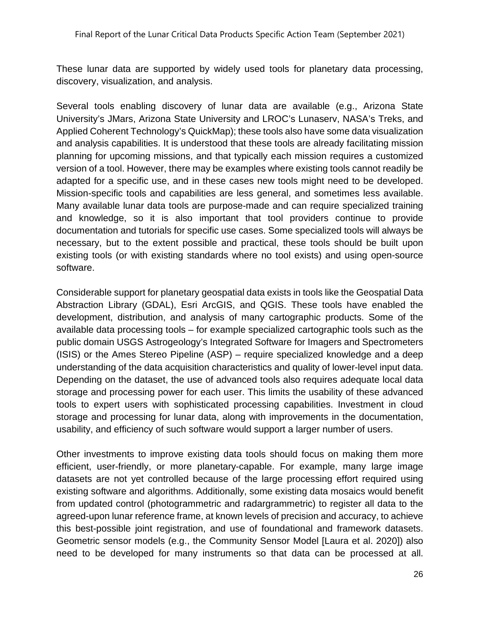These lunar data are supported by widely used tools for planetary data processing, discovery, visualization, and analysis.

Several tools enabling discovery of lunar data are available (e.g., Arizona State University's JMars, Arizona State University and LROC's Lunaserv, NASA's Treks, and Applied Coherent Technology's QuickMap); these tools also have some data visualization and analysis capabilities. It is understood that these tools are already facilitating mission planning for upcoming missions, and that typically each mission requires a customized version of a tool. However, there may be examples where existing tools cannot readily be adapted for a specific use, and in these cases new tools might need to be developed. Mission-specific tools and capabilities are less general, and sometimes less available. Many available lunar data tools are purpose-made and can require specialized training and knowledge, so it is also important that tool providers continue to provide documentation and tutorials for specific use cases. Some specialized tools will always be necessary, but to the extent possible and practical, these tools should be built upon existing tools (or with existing standards where no tool exists) and using open-source software.

Considerable support for planetary geospatial data exists in tools like the Geospatial Data Abstraction Library (GDAL), Esri ArcGIS, and QGIS. These tools have enabled the development, distribution, and analysis of many cartographic products. Some of the available data processing tools – for example specialized cartographic tools such as the public domain USGS Astrogeology's Integrated Software for Imagers and Spectrometers (ISIS) or the Ames Stereo Pipeline (ASP) – require specialized knowledge and a deep understanding of the data acquisition characteristics and quality of lower-level input data. Depending on the dataset, the use of advanced tools also requires adequate local data storage and processing power for each user. This limits the usability of these advanced tools to expert users with sophisticated processing capabilities. Investment in cloud storage and processing for lunar data, along with improvements in the documentation, usability, and efficiency of such software would support a larger number of users.

Other investments to improve existing data tools should focus on making them more efficient, user-friendly, or more planetary-capable. For example, many large image datasets are not yet controlled because of the large processing effort required using existing software and algorithms. Additionally, some existing data mosaics would benefit from updated control (photogrammetric and radargrammetric) to register all data to the agreed-upon lunar reference frame, at known levels of precision and accuracy, to achieve this best-possible joint registration, and use of foundational and framework datasets. Geometric sensor models (e.g., the Community Sensor Model [Laura et al. 2020]) also need to be developed for many instruments so that data can be processed at all.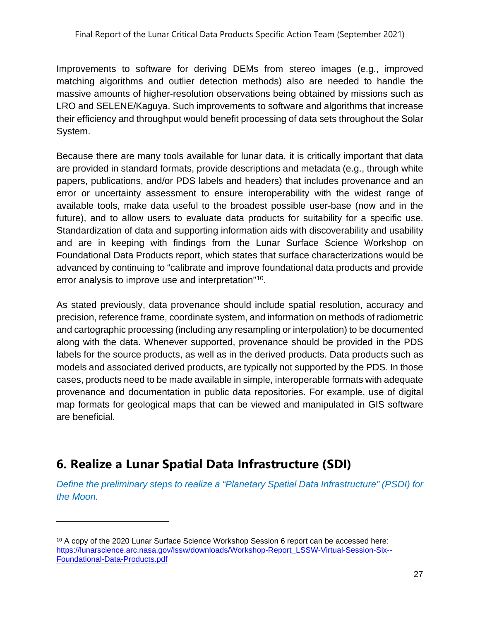Improvements to software for deriving DEMs from stereo images (e.g., improved matching algorithms and outlier detection methods) also are needed to handle the massive amounts of higher-resolution observations being obtained by missions such as LRO and SELENE/Kaguya. Such improvements to software and algorithms that increase their efficiency and throughput would benefit processing of data sets throughout the Solar System.

Because there are many tools available for lunar data, it is critically important that data are provided in standard formats, provide descriptions and metadata (e.g., through white papers, publications, and/or PDS labels and headers) that includes provenance and an error or uncertainty assessment to ensure interoperability with the widest range of available tools, make data useful to the broadest possible user-base (now and in the future), and to allow users to evaluate data products for suitability for a specific use. Standardization of data and supporting information aids with discoverability and usability and are in keeping with findings from the Lunar Surface Science Workshop on Foundational Data Products report, which states that surface characterizations would be advanced by continuing to "calibrate and improve foundational data products and provide error analysis to improve use and interpretation"[10](#page-27-1).

As stated previously, data provenance should include spatial resolution, accuracy and precision, reference frame, coordinate system, and information on methods of radiometric and cartographic processing (including any resampling or interpolation) to be documented along with the data. Whenever supported, provenance should be provided in the PDS labels for the source products, as well as in the derived products. Data products such as models and associated derived products, are typically not supported by the PDS. In those cases, products need to be made available in simple, interoperable formats with adequate provenance and documentation in public data repositories. For example, use of digital map formats for geological maps that can be viewed and manipulated in GIS software are beneficial.

## <span id="page-27-0"></span>**6. Realize a Lunar Spatial Data Infrastructure (SDI)**

*Define the preliminary steps to realize a "Planetary Spatial Data Infrastructure" (PSDI) for the Moon.*

<span id="page-27-1"></span><sup>&</sup>lt;sup>10</sup> A copy of the 2020 Lunar Surface Science Workshop Session 6 report can be accessed here: [https://lunarscience.arc.nasa.gov/lssw/downloads/Workshop-Report\\_LSSW-Virtual-Session-Six--](https://lunarscience.arc.nasa.gov/lssw/downloads/Workshop-Report_LSSW-Virtual-Session-Six--Foundational-Data-Products.pdf) [Foundational-Data-Products.pdf](https://lunarscience.arc.nasa.gov/lssw/downloads/Workshop-Report_LSSW-Virtual-Session-Six--Foundational-Data-Products.pdf)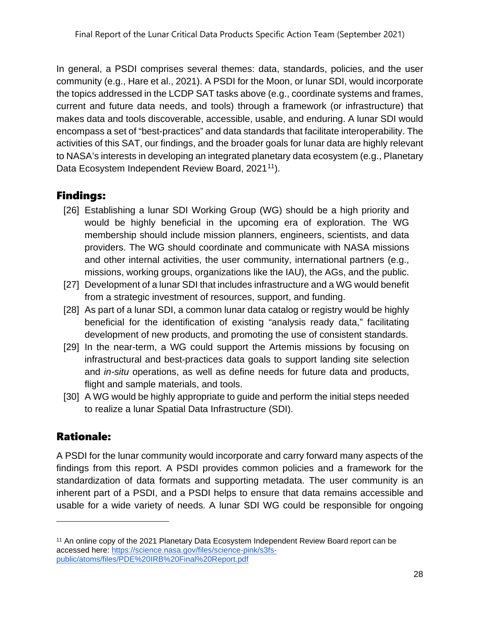In general, a PSDI comprises several themes: data, standards, policies, and the user community (e.g., Hare et al., 2021). A PSDI for the Moon, or lunar SDI, would incorporate the topics addressed in the LCDP SAT tasks above (e.g., coordinate systems and frames, current and future data needs, and tools) through a framework (or infrastructure) that makes data and tools discoverable, accessible, usable, and enduring. A lunar SDI would encompass a set of "best-practices" and data standards that facilitate interoperability. The activities of this SAT, our findings, and the broader goals for lunar data are highly relevant to NASA's interests in developing an integrated planetary data ecosystem (e.g., Planetary Data Ecosystem Independent Review Board, 2021<sup>[11](#page-28-0)</sup>).

### Findings:

- [26] Establishing a lunar SDI Working Group (WG) should be a high priority and would be highly beneficial in the upcoming era of exploration. The WG membership should include mission planners, engineers, scientists, and data providers. The WG should coordinate and communicate with NASA missions and other internal activities, the user community, international partners (e.g., missions, working groups, organizations like the IAU), the AGs, and the public.
- [27] Development of a lunar SDI that includes infrastructure and a WG would benefit from a strategic investment of resources, support, and funding.
- [28] As part of a lunar SDI, a common lunar data catalog or registry would be highly beneficial for the identification of existing "analysis ready data," facilitating development of new products, and promoting the use of consistent standards.
- [29] In the near-term, a WG could support the Artemis missions by focusing on infrastructural and best-practices data goals to support landing site selection and *in-situ* operations, as well as define needs for future data and products, flight and sample materials, and tools.
- [30] A WG would be highly appropriate to guide and perform the initial steps needed to realize a lunar Spatial Data Infrastructure (SDI).

### Rationale:

A PSDI for the lunar community would incorporate and carry forward many aspects of the findings from this report. A PSDI provides common policies and a framework for the standardization of data formats and supporting metadata. The user community is an inherent part of a PSDI, and a PSDI helps to ensure that data remains accessible and usable for a wide variety of needs. A lunar SDI WG could be responsible for ongoing

<span id="page-28-0"></span><sup>&</sup>lt;sup>11</sup> An online copy of the 2021 Planetary Data Ecosystem Independent Review Board report can be accessed here: [https://science.nasa.gov/files/science-pink/s3fs](https://science.nasa.gov/files/science-pink/s3fs-public/atoms/files/PDE%20IRB%20Final%20Report.pdf)[public/atoms/files/PDE%20IRB%20Final%20Report.pdf](https://science.nasa.gov/files/science-pink/s3fs-public/atoms/files/PDE%20IRB%20Final%20Report.pdf)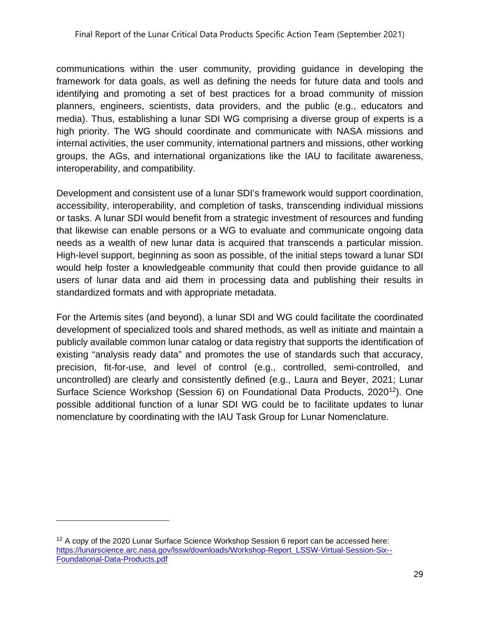communications within the user community, providing guidance in developing the framework for data goals, as well as defining the needs for future data and tools and identifying and promoting a set of best practices for a broad community of mission planners, engineers, scientists, data providers, and the public (e.g., educators and media). Thus, establishing a lunar SDI WG comprising a diverse group of experts is a high priority. The WG should coordinate and communicate with NASA missions and internal activities, the user community, international partners and missions, other working groups, the AGs, and international organizations like the IAU to facilitate awareness, interoperability, and compatibility.

Development and consistent use of a lunar SDI's framework would support coordination, accessibility, interoperability, and completion of tasks, transcending individual missions or tasks. A lunar SDI would benefit from a strategic investment of resources and funding that likewise can enable persons or a WG to evaluate and communicate ongoing data needs as a wealth of new lunar data is acquired that transcends a particular mission. High-level support, beginning as soon as possible, of the initial steps toward a lunar SDI would help foster a knowledgeable community that could then provide guidance to all users of lunar data and aid them in processing data and publishing their results in standardized formats and with appropriate metadata.

For the Artemis sites (and beyond), a lunar SDI and WG could facilitate the coordinated development of specialized tools and shared methods, as well as initiate and maintain a publicly available common lunar catalog or data registry that supports the identification of existing "analysis ready data" and promotes the use of standards such that accuracy, precision, fit-for-use, and level of control (e.g., controlled, semi-controlled, and uncontrolled) are clearly and consistently defined (e.g., Laura and Beyer, 2021; Lunar Surface Science Workshop (Session 6) on Foundational Data Products, 2020<sup>[12](#page-29-0)</sup>). One possible additional function of a lunar SDI WG could be to facilitate updates to lunar nomenclature by coordinating with the IAU Task Group for Lunar Nomenclature.

<span id="page-29-0"></span> $12$  A copy of the 2020 Lunar Surface Science Workshop Session 6 report can be accessed here: [https://lunarscience.arc.nasa.gov/lssw/downloads/Workshop-Report\\_LSSW-Virtual-Session-Six--](https://lunarscience.arc.nasa.gov/lssw/downloads/Workshop-Report_LSSW-Virtual-Session-Six--Foundational-Data-Products.pdf) [Foundational-Data-Products.pdf](https://lunarscience.arc.nasa.gov/lssw/downloads/Workshop-Report_LSSW-Virtual-Session-Six--Foundational-Data-Products.pdf)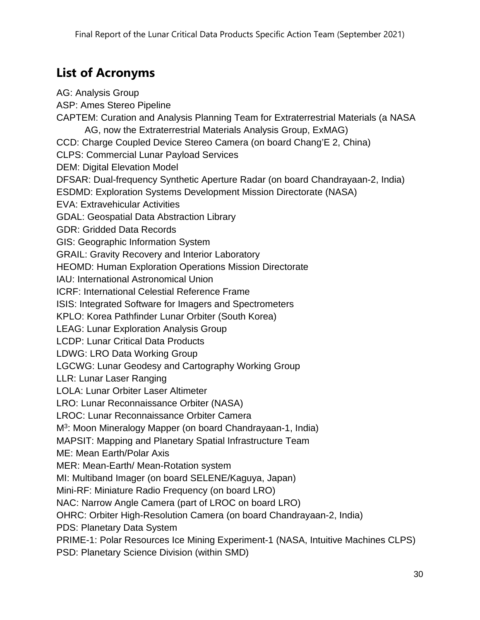## <span id="page-30-0"></span>**List of Acronyms**

AG: Analysis Group ASP: Ames Stereo Pipeline CAPTEM: Curation and Analysis Planning Team for Extraterrestrial Materials (a NASA AG, now the Extraterrestrial Materials Analysis Group, ExMAG) CCD: Charge Coupled Device Stereo Camera (on board Chang'E 2, China) CLPS: Commercial Lunar Payload Services DEM: Digital Elevation Model DFSAR: Dual-frequency Synthetic Aperture Radar (on board Chandrayaan-2, India) ESDMD: Exploration Systems Development Mission Directorate (NASA) EVA: Extravehicular Activities GDAL: Geospatial Data Abstraction Library GDR: Gridded Data Records GIS: Geographic Information System GRAIL: Gravity Recovery and Interior Laboratory HEOMD: Human Exploration Operations Mission Directorate IAU: International Astronomical Union ICRF: International Celestial Reference Frame ISIS: Integrated Software for Imagers and Spectrometers KPLO: Korea Pathfinder Lunar Orbiter (South Korea) LEAG: Lunar Exploration Analysis Group LCDP: Lunar Critical Data Products LDWG: LRO Data Working Group LGCWG: Lunar Geodesy and Cartography Working Group LLR: Lunar Laser Ranging LOLA: Lunar Orbiter Laser Altimeter LRO: Lunar Reconnaissance Orbiter (NASA) LROC: Lunar Reconnaissance Orbiter Camera M3: Moon Mineralogy Mapper (on board Chandrayaan-1, India) MAPSIT: Mapping and Planetary Spatial Infrastructure Team ME: Mean Earth/Polar Axis MER: Mean-Earth/ Mean-Rotation system MI: Multiband Imager (on board SELENE/Kaguya, Japan) Mini-RF: Miniature Radio Frequency (on board LRO) NAC: Narrow Angle Camera (part of LROC on board LRO) OHRC: Orbiter High-Resolution Camera (on board Chandrayaan-2, India) PDS: Planetary Data System PRIME-1: Polar Resources Ice Mining Experiment-1 (NASA, Intuitive Machines CLPS)

PSD: Planetary Science Division (within SMD)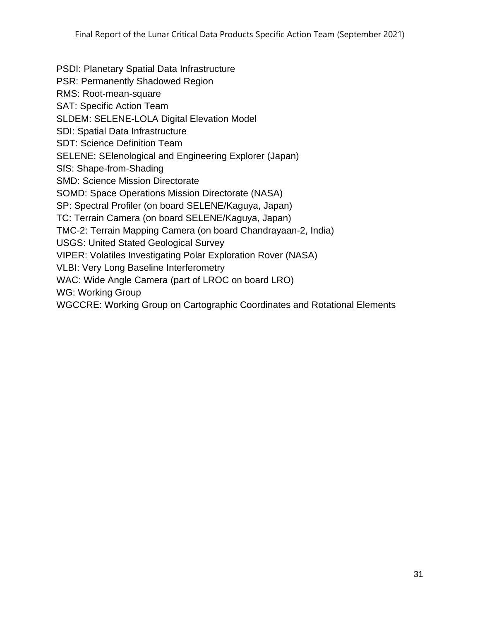PSDI: Planetary Spatial Data Infrastructure PSR: Permanently Shadowed Region RMS: Root-mean-square SAT: Specific Action Team SLDEM: SELENE-LOLA Digital Elevation Model SDI: Spatial Data Infrastructure SDT: Science Definition Team SELENE: SElenological and Engineering Explorer (Japan) SfS: Shape-from-Shading SMD: Science Mission Directorate SOMD: Space Operations Mission Directorate (NASA) SP: Spectral Profiler (on board SELENE/Kaguya, Japan) TC: Terrain Camera (on board SELENE/Kaguya, Japan) TMC-2: Terrain Mapping Camera (on board Chandrayaan-2, India) USGS: United Stated Geological Survey VIPER: Volatiles Investigating Polar Exploration Rover (NASA) VLBI: Very Long Baseline Interferometry WAC: Wide Angle Camera (part of LROC on board LRO) WG: Working Group WGCCRE: Working Group on Cartographic Coordinates and Rotational Elements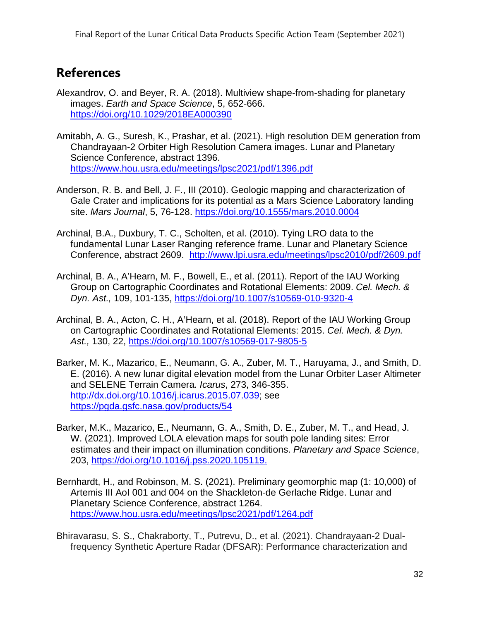### <span id="page-32-0"></span>**References**

- Alexandrov, O. and Beyer, R. A. (2018). Multiview shape-from-shading for planetary images. *Earth and Space Science*, 5, 652-666. <https://doi.org/10.1029/2018EA000390>
- Amitabh, A. G., Suresh, K., Prashar, et al. (2021). High resolution DEM generation from Chandrayaan-2 Orbiter High Resolution Camera images. Lunar and Planetary Science Conference, abstract 1396. <https://www.hou.usra.edu/meetings/lpsc2021/pdf/1396.pdf>
- Anderson, R. B. and Bell, J. F., III (2010). Geologic mapping and characterization of Gale Crater and implications for its potential as a Mars Science Laboratory landing site. *Mars Journal*, 5, 76-128.<https://doi.org/10.1555/mars.2010.0004>
- Archinal, B.A., Duxbury, T. C., Scholten, et al. (2010). Tying LRO data to the fundamental Lunar Laser Ranging reference frame. Lunar and Planetary Science Conference, abstract 2609. <http://www.lpi.usra.edu/meetings/lpsc2010/pdf/2609.pdf>
- Archinal, B. A., A'Hearn, M. F., Bowell, E., et al. (2011). Report of the IAU Working Group on Cartographic Coordinates and Rotational Elements: 2009. *Cel. Mech. & Dyn. Ast.,* 109, 101-135,<https://doi.org/10.1007/s10569-010-9320-4>
- Archinal, B. A., Acton, C. H., A'Hearn, et al. (2018). Report of the IAU Working Group on Cartographic Coordinates and Rotational Elements: 2015. *Cel. Mech. & Dyn. Ast.,* 130, 22,<https://doi.org/10.1007/s10569-017-9805-5>
- Barker, M. K., Mazarico, E., Neumann, G. A., Zuber, M. T., Haruyama, J., and Smith, D. E. (2016). A new lunar digital elevation model from the Lunar Orbiter Laser Altimeter and SELENE Terrain Camera. *Icarus*, 273, 346-355. [http://dx.doi.org/10.1016/j.icarus.2015.07.039;](http://dx.doi.org/10.1016/j.icarus.2015.07.039) see <https://pgda.gsfc.nasa.gov/products/54>
- Barker, M.K., Mazarico, E., Neumann, G. A., Smith, D. E., Zuber, M. T., and Head, J. W. (2021). Improved LOLA elevation maps for south pole landing sites: Error estimates and their impact on illumination conditions. *Planetary and Space Science*, 203, [https://doi.org/10.1016/j.pss.2020.105119.](https://doi.org/10.1016/j.pss.2020.105119)
- Bernhardt, H., and Robinson, M. S. (2021). Preliminary geomorphic map (1: 10,000) of Artemis III AoI 001 and 004 on the Shackleton-de Gerlache Ridge. Lunar and Planetary Science Conference, abstract 1264. <https://www.hou.usra.edu/meetings/lpsc2021/pdf/1264.pdf>
- Bhiravarasu, S. S., Chakraborty, T., Putrevu, D., et al. (2021). Chandrayaan-2 Dualfrequency Synthetic Aperture Radar (DFSAR): Performance characterization and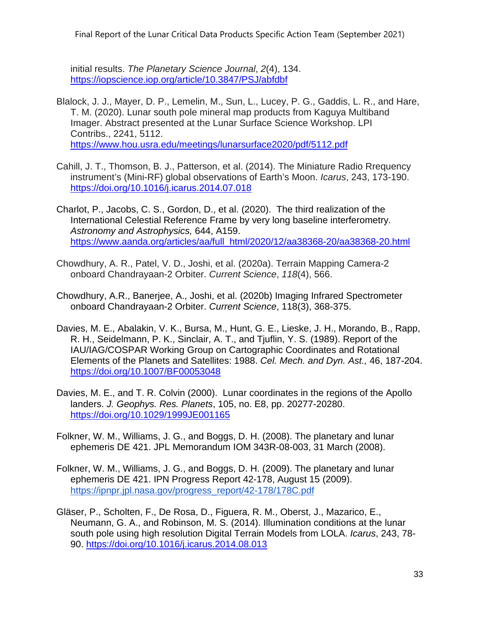Final Report of the Lunar Critical Data Products Specific Action Team (September 2021)

initial results. *The Planetary Science Journal*, *2*(4), 134. <https://iopscience.iop.org/article/10.3847/PSJ/abfdbf>

- Blalock, J. J., Mayer, D. P., Lemelin, M., Sun, L., Lucey, P. G., Gaddis, L. R., and Hare, T. M. (2020). Lunar south pole mineral map products from Kaguya Multiband Imager. Abstract presented at the Lunar Surface Science Workshop. LPI Contribs., 2241, 5112. <https://www.hou.usra.edu/meetings/lunarsurface2020/pdf/5112.pdf>
- Cahill, J. T., Thomson, B. J., Patterson, et al. (2014). The Miniature Radio Rrequency instrument's (Mini-RF) global observations of Earth's Moon. *Icarus*, 243, 173-190. <https://doi.org/10.1016/j.icarus.2014.07.018>
- Charlot, P., Jacobs, C. S., Gordon, D., et al. (2020). The third realization of the International Celestial Reference Frame by very long baseline interferometry. *Astronomy and Astrophysics,* 644, A159. [https://www.aanda.org/articles/aa/full\\_html/2020/12/aa38368-20/aa38368-20.html](https://www.aanda.org/articles/aa/full_html/2020/12/aa38368-20/aa38368-20.html)
- Chowdhury, A. R., Patel, V. D., Joshi, et al. (2020a). Terrain Mapping Camera-2 onboard Chandrayaan-2 Orbiter. *Current Science*, *118*(4), 566.
- Chowdhury, A.R., Banerjee, A., Joshi, et al. (2020b) Imaging Infrared Spectrometer onboard Chandrayaan-2 Orbiter. *Current Science*, 118(3), 368-375.
- Davies, M. E., Abalakin, V. K., Bursa, M., Hunt, G. E., Lieske, J. H., Morando, B., Rapp, R. H., Seidelmann, P. K., Sinclair, A. T., and Tjuflin, Y. S. (1989). Report of the IAU/IAG/COSPAR Working Group on Cartographic Coordinates and Rotational Elements of the Planets and Satellites: 1988. *Cel. Mech. and Dyn. Ast.,* 46, 187-204. <https://doi.org/10.1007/BF00053048>
- Davies, M. E., and T. R. Colvin (2000). Lunar coordinates in the regions of the Apollo landers. *J. Geophys. Res. Planets*, 105, no. E8, pp. 20277-20280. <https://doi.org/10.1029/1999JE001165>
- Folkner, W. M., Williams, J. G., and Boggs, D. H. (2008). The planetary and lunar ephemeris DE 421. JPL Memorandum IOM 343R-08-003, 31 March (2008).
- Folkner, W. M., Williams, J. G., and Boggs, D. H. (2009). The planetar[y and lunar](https://ipnpr.jpl.nasa.gov/progress_report/42-178/178C.pdf)  ephemeris DE 421. IPN Progress Report 42-178, August 15 (2009). [https://ipnpr.jpl.nasa.gov/progress\\_report/42-178/178C.pdf](https://ipnpr.jpl.nasa.gov/progress_report/42-178/178C.pdf)
- Gläser, P., Scholten, F., De Rosa, D., Figuera, R. M., Oberst, J., Mazarico, E., Neumann, G. A., and Robinson, M. S. (2014). Illumination conditions at the lunar south pole using high resolution Digital Terrain Models from LOLA. *Icarus*, 243, 78- 90.<https://doi.org/10.1016/j.icarus.2014.08.013>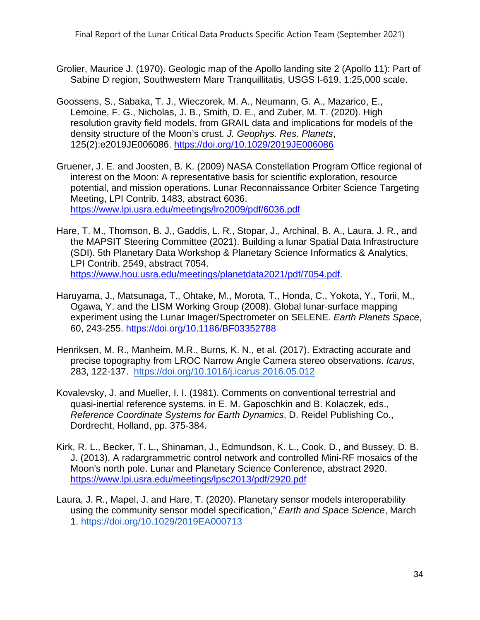- Grolier, Maurice J. (1970). Geologic map of the Apollo landing site 2 (Apollo 11): Part of Sabine D region, Southwestern Mare Tranquillitatis, USGS I-619, 1:25,000 scale.
- Goossens, S., Sabaka, T. J., Wieczorek, M. A., Neumann, G. A., Mazarico, E., Lemoine, F. G., Nicholas, J. B., Smith, D. E., and Zuber, M. T. (2020). High resolution gravity field models, from GRAIL data and implications for models of the density structure of the Moon's crust. *J. Geophys. Res. Planets*, 125(2):e2019JE006086.<https://doi.org/10.1029/2019JE006086>
- Gruener, J. E. and Joosten, B. K. (2009) NASA Constellation Program Office regional of interest on the Moon: A representative basis for scientific exploration, resource potential, and mission operations. Lunar Reconnaissance Orbiter Science Targeting Meeting, LPI Contrib. 1483, abstract 6036. <https://www.lpi.usra.edu/meetings/lro2009/pdf/6036.pdf>
- Hare, T. M., Thomson, B. J., Gaddis, L. R., Stopar, J., Archinal, B. A., Laura, J. R., and the MAPSIT Steering Committee (2021). Building a lunar Spatial Data Infrastructure (SDI). 5th Planetary Data Workshop & Planetary Science Informatics & Analytics, LPI Contrib. 2549, abstract 7054. [https://www.hou.usra.edu/meetings/planetdata2021/pdf/7054.pdf.](https://www.hou.usra.edu/meetings/planetdata2021/pdf/7054.pdf)
- Haruyama, J., Matsunaga, T., Ohtake, M., Morota, T., Honda, C., Yokota, Y., Torii, M., Ogawa, Y. and the LISM Working Group (2008). Global lunar-surface mapping experiment using the Lunar Imager/Spectrometer on SELENE. *Earth Planets Space*, 60, 243-255.<https://doi.org/10.1186/BF03352788>
- Henriksen, M. R., Manheim, M.R., Burns, K. N., et al. (2017). Extracting accurate and precise topography from LROC Narrow Angle Camera stereo observations. *Icarus*, 283, 122-137. <https://doi.org/10.1016/j.icarus.2016.05.012>
- Kovalevsky, J. and Mueller, I. I. (1981). Comments on conventional terrestrial and quasi-inertial reference systems. in E. M. Gaposchkin and B. Kolaczek, eds., *Reference Coordinate Systems for Earth Dynamics*, D. Reidel Publishing Co., Dordrecht, Holland, pp. 375-384.
- Kirk, R. L., Becker, T. L., Shinaman, J., Edmundson, K. L., Cook, D., and Bussey, D. B. J. (2013). A radargrammetric control network and controlled Mini-RF mosaics of the Moon's north pole. Lunar and Planetary Science Conference, abstract 2920. <https://www.lpi.usra.edu/meetings/lpsc2013/pdf/2920.pdf>
- Laura, J. R., Mapel, J. and Hare, T. (2020). Planetary sensor models interoperability using the community sensor model specification," *Earth and Space Science*, March 1. <https://doi.org/10.1029/2019EA000713>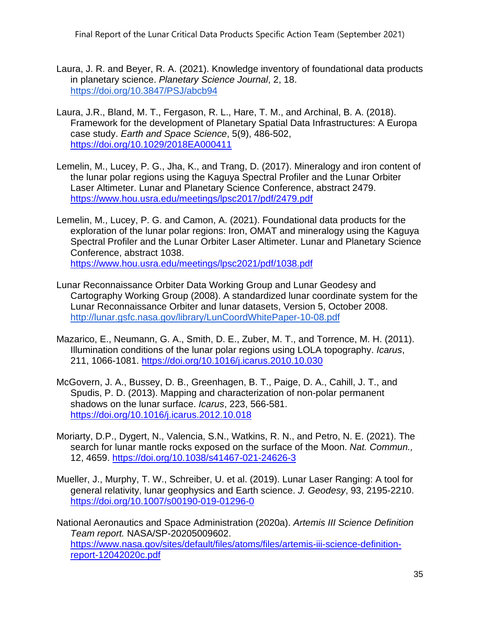- Laura, J. R. and Beyer, R. A. (2021). Knowledge inventory of foundational data products in planetary science. *Planetary Science Journal*, 2, 18. <https://doi.org/10.3847/PSJ/abcb94>
- Laura, J.R., Bland, M. T., Fergason, R. L., Hare, T. M., and Archinal, B. A. (2018). Framework for the development of Planetary Spatial Data Infrastructures: A Europa case study. *Earth and Space Science*, 5(9), 486-502, <https://doi.org/10.1029/2018EA000411>
- Lemelin, M., Lucey, P. G., Jha, K., and Trang, D. (2017). Mineralogy and iron content of the lunar polar regions using the Kaguya Spectral Profiler and the Lunar Orbiter Laser Altimeter. Lunar and Planetary Science Conference, abstract 2479. <https://www.hou.usra.edu/meetings/lpsc2017/pdf/2479.pdf>
- Lemelin, M., Lucey, P. G. and Camon, A. (2021). Foundational data products for the exploration of the lunar polar regions: Iron, OMAT and mineralogy using the Kaguya Spectral Profiler and the Lunar Orbiter Laser Altimeter. Lunar and Planetary Science Conference, abstract 1038. <https://www.hou.usra.edu/meetings/lpsc2021/pdf/1038.pdf>
- Lunar Reconnaissance Orbiter Data Working Group and Lunar Geodesy and Cartography Working Group (2008). A standardized lunar coordinate system for the Lunar Reconnaissance Orbiter and lunar datasets, Version 5, October 2008. <http://lunar.gsfc.nasa.gov/library/LunCoordWhitePaper-10-08.pdf>
- Mazarico, E., Neumann, G. A., Smith, D. E., Zuber, M. T., and Torrence, M. H. (2011). Illumination conditions of the lunar polar regions using LOLA topography. *Icarus*, 211, 1066-1081.<https://doi.org/10.1016/j.icarus.2010.10.030>
- McGovern, J. A., Bussey, D. B., Greenhagen, B. T., Paige, D. A., Cahill, J. T., and Spudis, P. D. (2013). Mapping and characterization of non-polar permanent shadows on the lunar surface. *Icarus*, 223, 566-581. <https://doi.org/10.1016/j.icarus.2012.10.018>
- Moriarty, D.P., Dygert, N., Valencia, S.N., Watkins, R. N., and Petro, N. E. (2021). The search for lunar mantle rocks exposed on the surface of the Moon. *Nat. Commun.,* 12, 4659.<https://doi.org/10.1038/s41467-021-24626-3>
- Mueller, J., Murphy, T. W., Schreiber, U. et al. (2019). Lunar Laser Ranging: A tool for general relativity, lunar geophysics and Earth science. *J. Geodesy*, 93, 2195-2210. <https://doi.org/10.1007/s00190-019-01296-0>
- National Aeronautics and Space Administration (2020a). *Artemis III Science Definition Team report.* NASA/SP-20205009602. [https://www.nasa.gov/sites/default/files/atoms/files/artemis-iii-science-definition](https://www.nasa.gov/sites/default/files/atoms/files/artemis-iii-science-definition-report-12042020c.pdf)[report-12042020c.pdf](https://www.nasa.gov/sites/default/files/atoms/files/artemis-iii-science-definition-report-12042020c.pdf)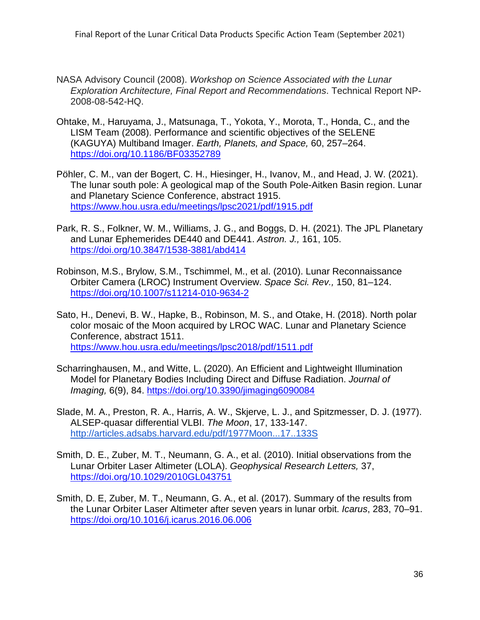- NASA Advisory Council (2008). *Workshop on Science Associated with the Lunar Exploration Architecture, Final Report and Recommendations*. Technical Report NP-2008-08-542-HQ.
- Ohtake, M., Haruyama, J., Matsunaga, T., Yokota, Y., Morota, T., Honda, C., and the LISM Team (2008). Performance and scientific objectives of the SELENE (KAGUYA) Multiband Imager. *Earth, Planets, and Space,* 60, 257–264. <https://doi.org/10.1186/BF03352789>
- Pöhler, C. M., van der Bogert, C. H., Hiesinger, H., Ivanov, M., and Head, J. W. (2021). The lunar south pole: A geological map of the South Pole-Aitken Basin region. Lunar and Planetary Science Conference, abstract 1915. <https://www.hou.usra.edu/meetings/lpsc2021/pdf/1915.pdf>
- Park, R. S., Folkner, W. M., Williams, J. G., and Boggs, D. H. (2021[\). The JPL Planetary](https://doi.org/10.3847/1538-3881/abd414)  and Lunar Ephemerides DE440 and DE441. *Astron. J.,* 161, 105. <https://doi.org/10.3847/1538-3881/abd414>
- Robinson, M.S., Brylow, S.M., Tschimmel, M., et al. (2010). Lunar Reconnaissance Orbiter Camera (LROC) Instrument Overview. *Space Sci. Rev.,* 150, 81–124. <https://doi.org/10.1007/s11214-010-9634-2>
- Sato, H., Denevi, B. W., Hapke, B., Robinson, M. S., and Otake, H. (2018). North polar color mosaic of the Moon acquired by LROC WAC. Lunar and Planetary Science Conference, abstract 1511. <https://www.hou.usra.edu/meetings/lpsc2018/pdf/1511.pdf>
- Scharringhausen, M., and Witte, L. (2020). An Efficient and Lightweight Illumination Model for Planetary Bodies Including Direct and Diffuse Radiation. *Journal of Imaging,* 6(9), 84.<https://doi.org/10.3390/jimaging6090084>
- Slade, M. A., Preston, R. A., Harris, A. W., Skjerve, L. J., and Spitzmesser, D. J. (1977). ALSEP-quasar differential VLBI. *The Moon*, 17, 133-147. <http://articles.adsabs.harvard.edu/pdf/1977Moon...17..133S>
- Smith, D. E., Zuber, M. T., Neumann, G. A., et al. (2010). Initial observations from the Lunar Orbiter Laser Altimeter (LOLA). *Geophysical Research Letters,* 37, <https://doi.org/10.1029/2010GL043751>
- Smith, D. E, Zuber, M. T., Neumann, G. A., et al. (2017). Summary of the results from the Lunar Orbiter Laser Altimeter after seven years in lunar orbit. *Icarus*, 283, 70–91. <https://doi.org/10.1016/j.icarus.2016.06.006>